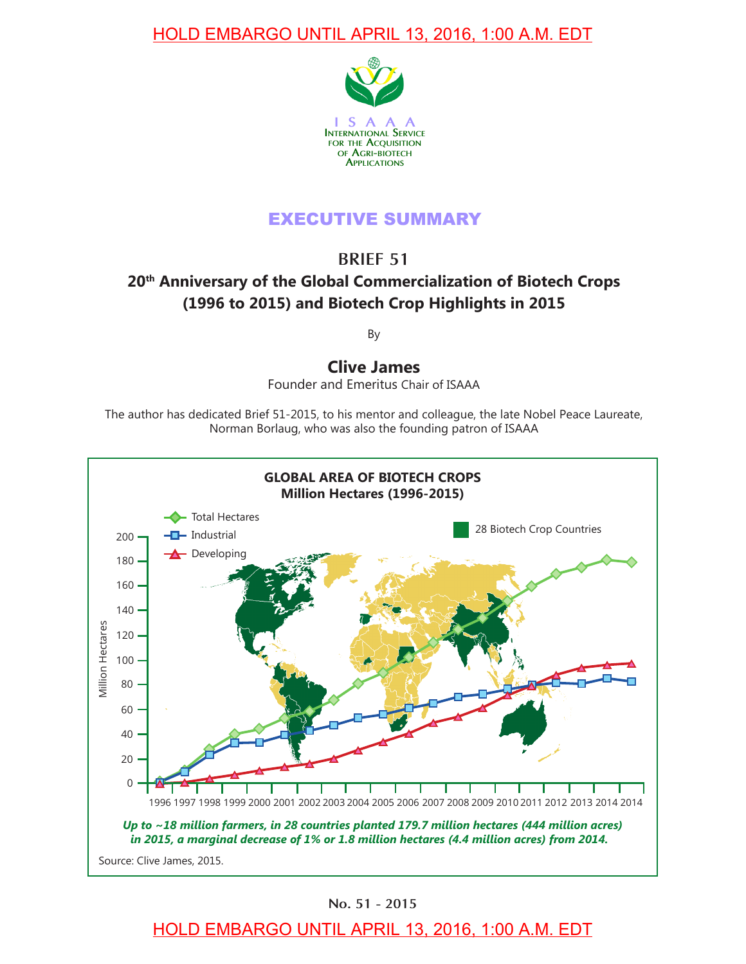

# EXECUTIVE SUMMARY

**BRIEF 51**

# **20th Anniversary of the Global Commercialization of Biotech Crops (1996 to 2015) and Biotech Crop Highlights in 2015**

By

**Clive James**

Founder and Emeritus Chair of ISAAA

The author has dedicated Brief 51-2015, to his mentor and colleague, the late Nobel Peace Laureate, Norman Borlaug, who was also the founding patron of ISAAA



**No. 51 - 2015**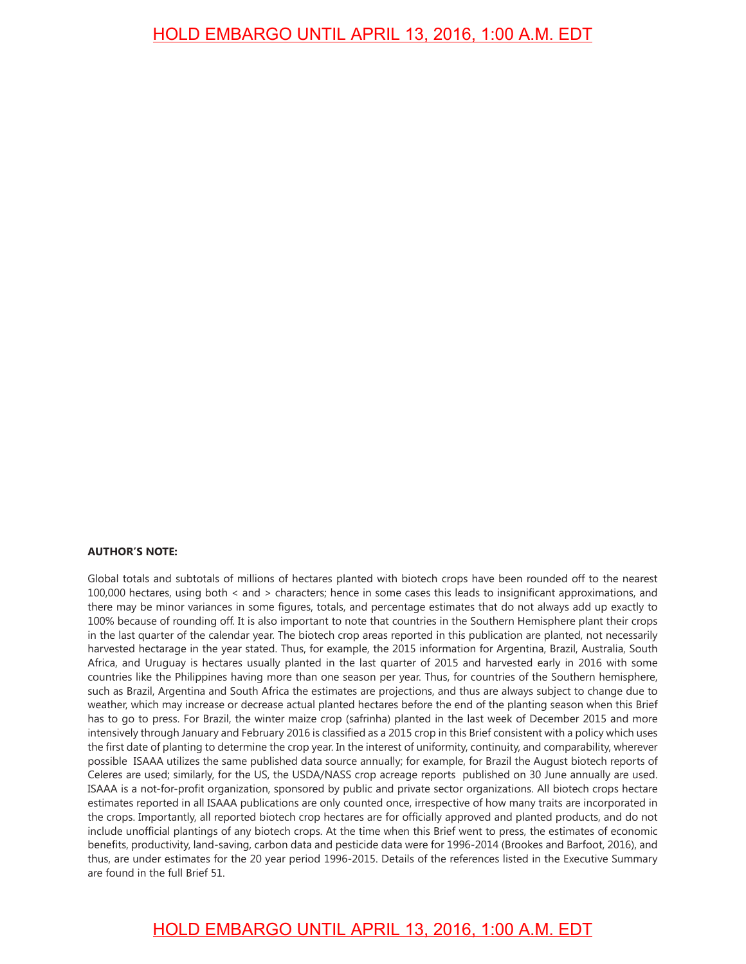#### **AUTHOR'S NOTE:**

Global totals and subtotals of millions of hectares planted with biotech crops have been rounded off to the nearest 100,000 hectares, using both < and > characters; hence in some cases this leads to insignifcant approximations, and there may be minor variances in some fgures, totals, and percentage estimates that do not always add up exactly to 100% because of rounding off. It is also important to note that countries in the Southern Hemisphere plant their crops in the last quarter of the calendar year. The biotech crop areas reported in this publication are planted, not necessarily harvested hectarage in the year stated. Thus, for example, the 2015 information for Argentina, Brazil, Australia, South Africa, and Uruguay is hectares usually planted in the last quarter of 2015 and harvested early in 2016 with some countries like the Philippines having more than one season per year. Thus, for countries of the Southern hemisphere, such as Brazil, Argentina and South Africa the estimates are projections, and thus are always subject to change due to weather, which may increase or decrease actual planted hectares before the end of the planting season when this Brief has to go to press. For Brazil, the winter maize crop (safrinha) planted in the last week of December 2015 and more intensively through January and February 2016 is classifed as a 2015 crop in this Brief consistent with a policy which uses the first date of planting to determine the crop year. In the interest of uniformity, continuity, and comparability, wherever possible ISAAA utilizes the same published data source annually; for example, for Brazil the August biotech reports of Celeres are used; similarly, for the US, the USDA/NASS crop acreage reports published on 30 June annually are used. ISAAA is a not-for-proft organization, sponsored by public and private sector organizations. All biotech crops hectare estimates reported in all ISAAA publications are only counted once, irrespective of how many traits are incorporated in the crops. Importantly, all reported biotech crop hectares are for officially approved and planted products, and do not include unofficial plantings of any biotech crops. At the time when this Brief went to press, the estimates of economic benefts, productivity, land-saving, carbon data and pesticide data were for 1996-2014 (Brookes and Barfoot, 2016), and thus, are under estimates for the 20 year period 1996-2015. Details of the references listed in the Executive Summary are found in the full Brief 51.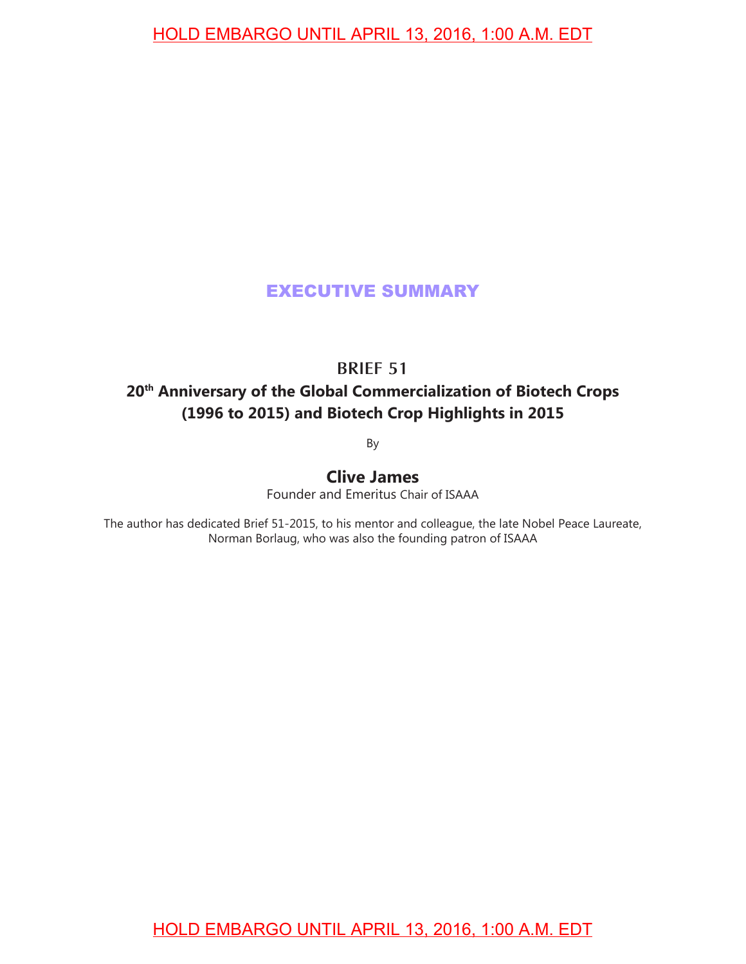# EXECUTIVE SUMMARY

### **BRIEF 51**

# **20th Anniversary of the Global Commercialization of Biotech Crops (1996 to 2015) and Biotech Crop Highlights in 2015**

By

# **Clive James**

Founder and Emeritus Chair of ISAAA

The author has dedicated Brief 51-2015, to his mentor and colleague, the late Nobel Peace Laureate, Norman Borlaug, who was also the founding patron of ISAAA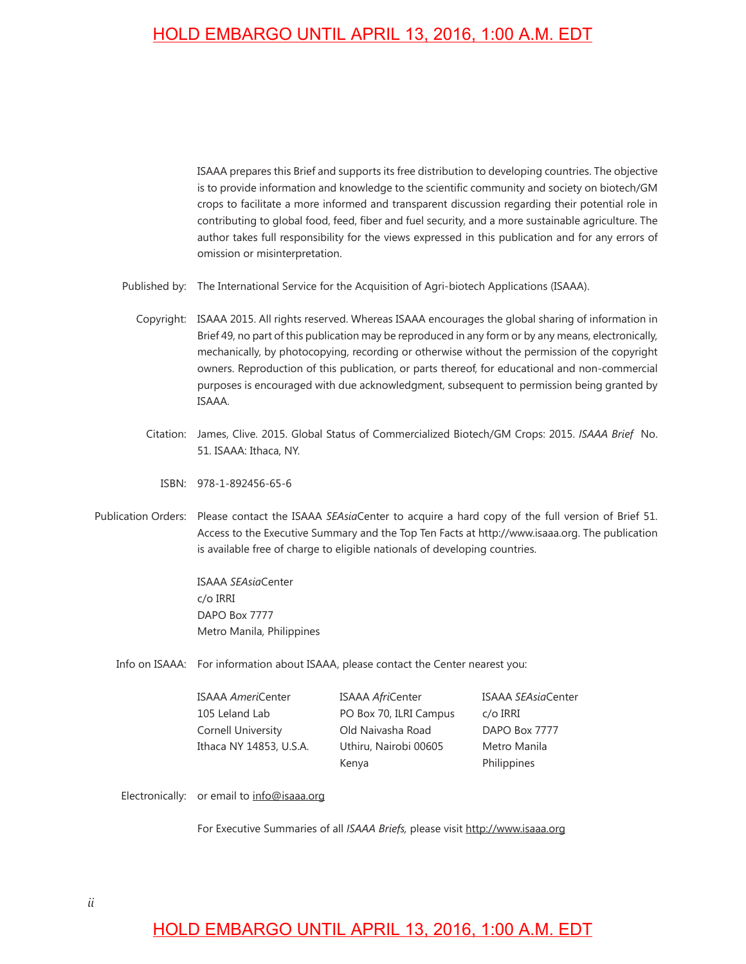ISAAA prepares this Brief and supports its free distribution to developing countries. The objective is to provide information and knowledge to the scientific community and society on biotech/GM crops to facilitate a more informed and transparent discussion regarding their potential role in contributing to global food, feed, fiber and fuel security, and a more sustainable agriculture. The author takes full responsibility for the views expressed in this publication and for any errors of omission or misinterpretation.

- Published by: The International Service for the Acquisition of Agri-biotech Applications (ISAAA).
	- Copyright: ISAAA 2015. All rights reserved. Whereas ISAAA encourages the global sharing of information in Brief 49, no part of this publication may be reproduced in any form or by any means, electronically, mechanically, by photocopying, recording or otherwise without the permission of the copyright owners. Reproduction of this publication, or parts thereof, for educational and non-commercial purposes is encouraged with due acknowledgment, subsequent to permission being granted by ISAAA.
		- Citation: James, Clive. 2015. Global Status of Commercialized Biotech/GM Crops: 2015. *ISAAA Brief* No. 51. ISAAA: Ithaca, NY.
			- ISBN: 978-1-892456-65-6
- Publication Orders: Please contact the ISAAA *SEAsia*Center to acquire a hard copy of the full version of Brief 51. Access to the Executive Summary and the Top Ten Facts at http://www.isaaa.org. The publication is available free of charge to eligible nationals of developing countries.

ISAAA *SEAsia*Center c/o IRRI DAPO Box 7777 Metro Manila, Philippines

Info on ISAAA: For information about ISAAA, please contact the Center nearest you:

ISAAA *Ameri*Center ISAAA *Afri*Center ISAAA *SEAsia*Center 105 Leland Lab PO Box 70, ILRI Campus c/o IRRI Cornell University Old Naivasha Road DAPO Box 7777 Ithaca NY 14853, U.S.A. Uthiru, Nairobi 00605 Metro Manila Kenya **Philippines** 

Electronically: or email to info@isaaa.org

For Executive Summaries of all *ISAAA Briefs,* please visit http://www.isaaa.org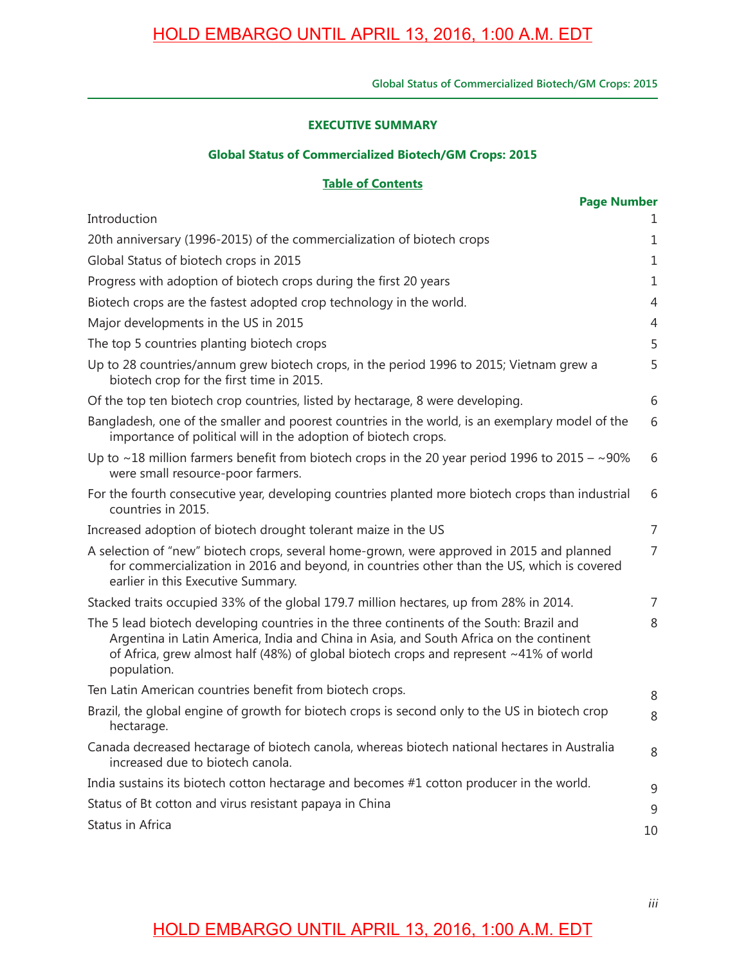#### **EXECUTIVE SUMMARY**

#### **Global Status of Commercialized Biotech/GM Crops: 2015**

#### **Table of Contents**

| <b>Page Number</b>                                                                                                                                                                                                                                                                         |                |  |  |
|--------------------------------------------------------------------------------------------------------------------------------------------------------------------------------------------------------------------------------------------------------------------------------------------|----------------|--|--|
| Introduction                                                                                                                                                                                                                                                                               | 1              |  |  |
| 20th anniversary (1996-2015) of the commercialization of biotech crops                                                                                                                                                                                                                     |                |  |  |
| Global Status of biotech crops in 2015                                                                                                                                                                                                                                                     | 1              |  |  |
| Progress with adoption of biotech crops during the first 20 years                                                                                                                                                                                                                          | 1              |  |  |
| Biotech crops are the fastest adopted crop technology in the world.                                                                                                                                                                                                                        |                |  |  |
| Major developments in the US in 2015                                                                                                                                                                                                                                                       | $\overline{4}$ |  |  |
| The top 5 countries planting biotech crops                                                                                                                                                                                                                                                 | 5              |  |  |
| Up to 28 countries/annum grew biotech crops, in the period 1996 to 2015; Vietnam grew a<br>biotech crop for the first time in 2015.                                                                                                                                                        | 5              |  |  |
| Of the top ten biotech crop countries, listed by hectarage, 8 were developing.                                                                                                                                                                                                             | 6              |  |  |
| Bangladesh, one of the smaller and poorest countries in the world, is an exemplary model of the<br>importance of political will in the adoption of biotech crops.                                                                                                                          | 6              |  |  |
| Up to $\sim$ 18 million farmers benefit from biotech crops in the 20 year period 1996 to 2015 – $\sim$ 90%<br>were small resource-poor farmers.                                                                                                                                            | 6              |  |  |
| For the fourth consecutive year, developing countries planted more biotech crops than industrial<br>countries in 2015.                                                                                                                                                                     | 6              |  |  |
| Increased adoption of biotech drought tolerant maize in the US                                                                                                                                                                                                                             | $\overline{7}$ |  |  |
| A selection of "new" biotech crops, several home-grown, were approved in 2015 and planned<br>for commercialization in 2016 and beyond, in countries other than the US, which is covered<br>earlier in this Executive Summary.                                                              | 7              |  |  |
| Stacked traits occupied 33% of the global 179.7 million hectares, up from 28% in 2014.                                                                                                                                                                                                     | $\overline{7}$ |  |  |
| The 5 lead biotech developing countries in the three continents of the South: Brazil and<br>Argentina in Latin America, India and China in Asia, and South Africa on the continent<br>of Africa, grew almost half (48%) of global biotech crops and represent ~41% of world<br>population. | 8              |  |  |
| Ten Latin American countries benefit from biotech crops.                                                                                                                                                                                                                                   | 8              |  |  |
| Brazil, the global engine of growth for biotech crops is second only to the US in biotech crop<br>hectarage.                                                                                                                                                                               | 8              |  |  |
| Canada decreased hectarage of biotech canola, whereas biotech national hectares in Australia<br>increased due to biotech canola.                                                                                                                                                           | 8              |  |  |
| India sustains its biotech cotton hectarage and becomes #1 cotton producer in the world.                                                                                                                                                                                                   | 9              |  |  |
| Status of Bt cotton and virus resistant papaya in China                                                                                                                                                                                                                                    | 9              |  |  |
| Status in Africa                                                                                                                                                                                                                                                                           | 10             |  |  |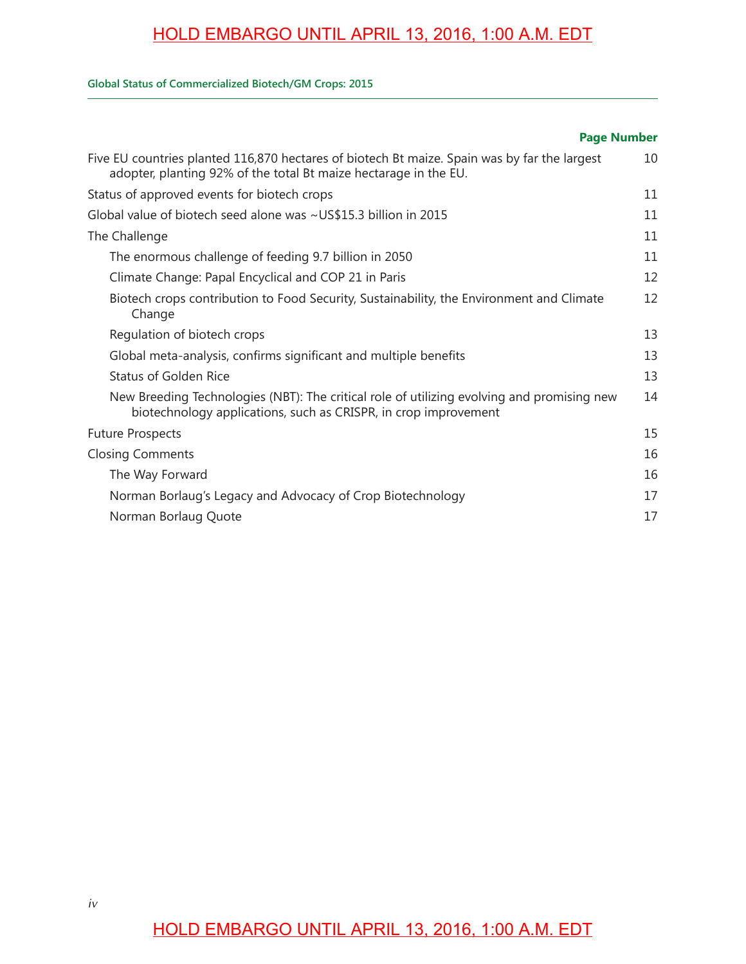#### **Global Status of Commercialized Biotech/GM Crops: 2015**

#### Five EU countries planted 116,870 hectares of biotech Bt maize. Spain was by far the largest adopter, planting 92% of the total Bt maize hectarage in the EU. Status of approved events for biotech crops Global value of biotech seed alone was ~US\$15.3 billion in 2015 The Challenge The enormous challenge of feeding 9.7 billion in 2050 Climate Change: Papal Encyclical and COP 21 in Paris Biotech crops contribution to Food Security, Sustainability, the Environment and Climate Change Regulation of biotech crops Global meta-analysis, confirms significant and multiple benefits Status of Golden Rice New Breeding Technologies (NBT): The critical role of utilizing evolving and promising new biotechnology applications, such as CRISPR, in crop improvement Future Prospects Closing Comments The Way Forward Norman Borlaug's Legacy and Advocacy of Crop Biotechnology Norman Borlaug Quote 10 11 11 11 11 12 12 13 13 13 14 15 16 16 17 17 **Page Number**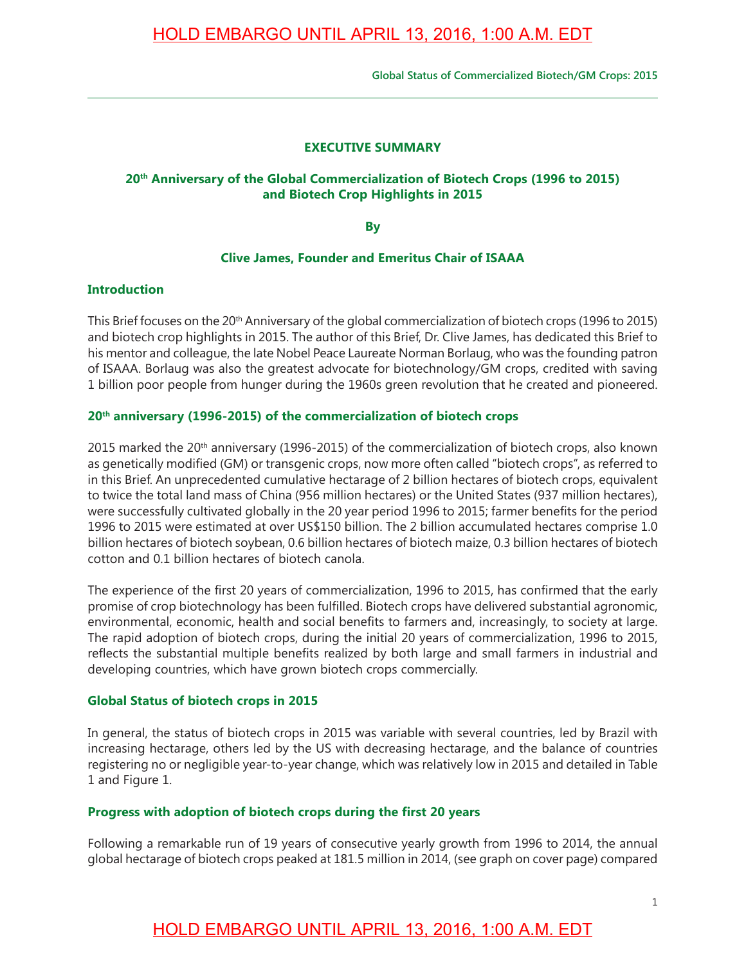### **EXECUTIVE SUMMARY**

### 20<sup>th</sup> Anniversary of the Global Commercialization of Biotech Crops (1996 to 2015) **and Biotech Crop Highlights in 2015**

**By**

### **Clive James, Founder and Emeritus Chair of ISAAA**

#### **Introduction**

This Brief focuses on the 20<sup>th</sup> Anniversary of the global commercialization of biotech crops (1996 to 2015) and biotech crop highlights in 2015. The author of this Brief, Dr. Clive James, has dedicated this Brief to his mentor and colleague, the late Nobel Peace Laureate Norman Borlaug, who was the founding patron of ISAAA. Borlaug was also the greatest advocate for biotechnology/GM crops, credited with saving 1 billion poor people from hunger during the 1960s green revolution that he created and pioneered.

### **20th anniversary (1996-2015) of the commercialization of biotech crops**

2015 marked the 20<sup>th</sup> anniversary (1996-2015) of the commercialization of biotech crops, also known as genetically modifed (GM) or transgenic crops, now more often called "biotech crops", as referred to in this Brief. An unprecedented cumulative hectarage of 2 billion hectares of biotech crops, equivalent to twice the total land mass of China (956 million hectares) or the United States (937 million hectares), were successfully cultivated globally in the 20 year period 1996 to 2015; farmer benefits for the period 1996 to 2015 were estimated at over US\$150 billion. The 2 billion accumulated hectares comprise 1.0 billion hectares of biotech soybean, 0.6 billion hectares of biotech maize, 0.3 billion hectares of biotech cotton and 0.1 billion hectares of biotech canola.

The experience of the frst 20 years of commercialization, 1996 to 2015, has confrmed that the early promise of crop biotechnology has been fulflled. Biotech crops have delivered substantial agronomic, environmental, economic, health and social benefits to farmers and, increasingly, to society at large. The rapid adoption of biotech crops, during the initial 20 years of commercialization, 1996 to 2015, reflects the substantial multiple benefits realized by both large and small farmers in industrial and developing countries, which have grown biotech crops commercially.

#### **Global Status of biotech crops in 2015**

In general, the status of biotech crops in 2015 was variable with several countries, led by Brazil with increasing hectarage, others led by the US with decreasing hectarage, and the balance of countries registering no or negligible year-to-year change, which was relatively low in 2015 and detailed in Table 1 and Figure 1.

### **Progress with adoption of biotech crops during the first 20 years**

Following a remarkable run of 19 years of consecutive yearly growth from 1996 to 2014, the annual global hectarage of biotech crops peaked at 181.5 million in 2014, (see graph on cover page) compared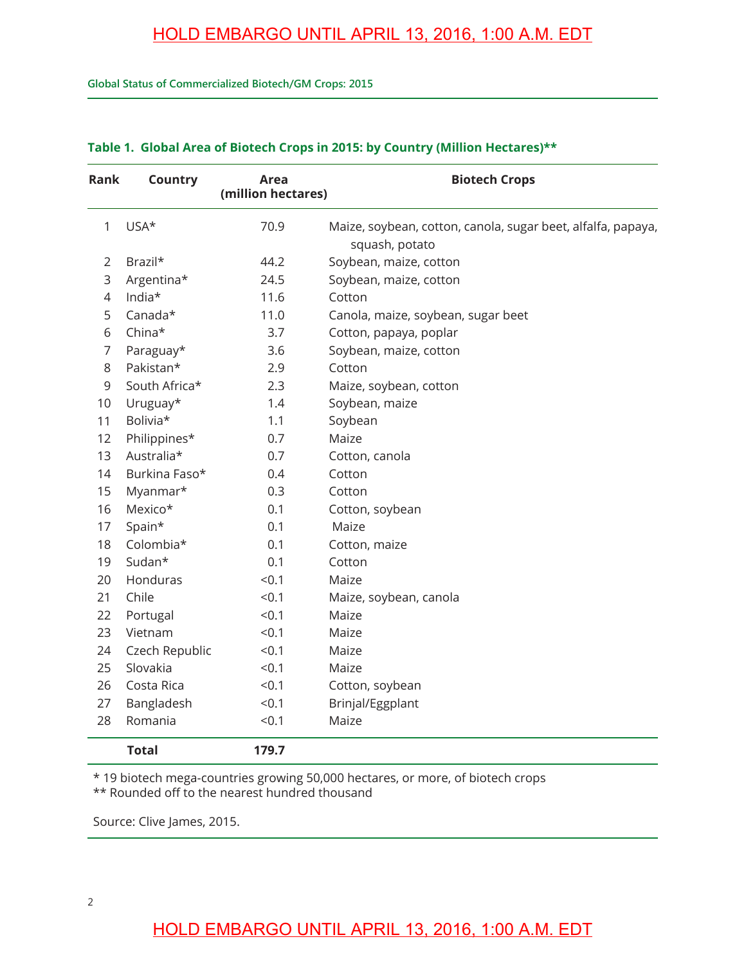**Global Status of Commercialized Biotech/GM Crops: 2015**

| Rank           | <b>Country</b> | Area<br>(million hectares) | <b>Biotech Crops</b>                                                           |
|----------------|----------------|----------------------------|--------------------------------------------------------------------------------|
| 1              | USA*           | 70.9                       | Maize, soybean, cotton, canola, sugar beet, alfalfa, papaya,<br>squash, potato |
| $\overline{2}$ | Brazil*        | 44.2                       | Soybean, maize, cotton                                                         |
| 3              | Argentina*     | 24.5                       | Soybean, maize, cotton                                                         |
| 4              | India*         | 11.6                       | Cotton                                                                         |
| 5              | Canada*        | 11.0                       | Canola, maize, soybean, sugar beet                                             |
| 6              | China*         | 3.7                        | Cotton, papaya, poplar                                                         |
| $\overline{7}$ | Paraguay*      | 3.6                        | Soybean, maize, cotton                                                         |
| 8              | Pakistan*      | 2.9                        | Cotton                                                                         |
| 9              | South Africa*  | 2.3                        | Maize, soybean, cotton                                                         |
| 10             | Uruguay*       | 1.4                        | Soybean, maize                                                                 |
| 11             | Bolivia*       | 1.1                        | Soybean                                                                        |
| 12             | Philippines*   | 0.7                        | Maize                                                                          |
| 13             | Australia*     | 0.7                        | Cotton, canola                                                                 |
| 14             | Burkina Faso*  | 0.4                        | Cotton                                                                         |
| 15             | Myanmar*       | 0.3                        | Cotton                                                                         |
| 16             | Mexico*        | 0.1                        | Cotton, soybean                                                                |
| 17             | Spain*         | 0.1                        | Maize                                                                          |
| 18             | Colombia*      | 0.1                        | Cotton, maize                                                                  |
| 19             | Sudan*         | 0.1                        | Cotton                                                                         |
| 20             | Honduras       | < 0.1                      | Maize                                                                          |
| 21             | Chile          | < 0.1                      | Maize, soybean, canola                                                         |
| 22             | Portugal       | < 0.1                      | Maize                                                                          |
| 23             | Vietnam        | < 0.1                      | Maize                                                                          |
| 24             | Czech Republic | < 0.1                      | Maize                                                                          |
| 25             | Slovakia       | < 0.1                      | Maize                                                                          |
| 26             | Costa Rica     | < 0.1                      | Cotton, soybean                                                                |
| 27             | Bangladesh     | < 0.1                      | Brinjal/Eggplant                                                               |
| 28             | Romania        | < 0.1                      | Maize                                                                          |
|                | <b>Total</b>   | 179.7                      |                                                                                |

#### **Table 1. Global Area of Biotech Crops in 2015: by Country (Million Hectares)\*\***

\* 19 biotech mega-countries growing 50,000 hectares, or more, of biotech crops

\*\* Rounded off to the nearest hundred thousand

Source: Clive James, 2015.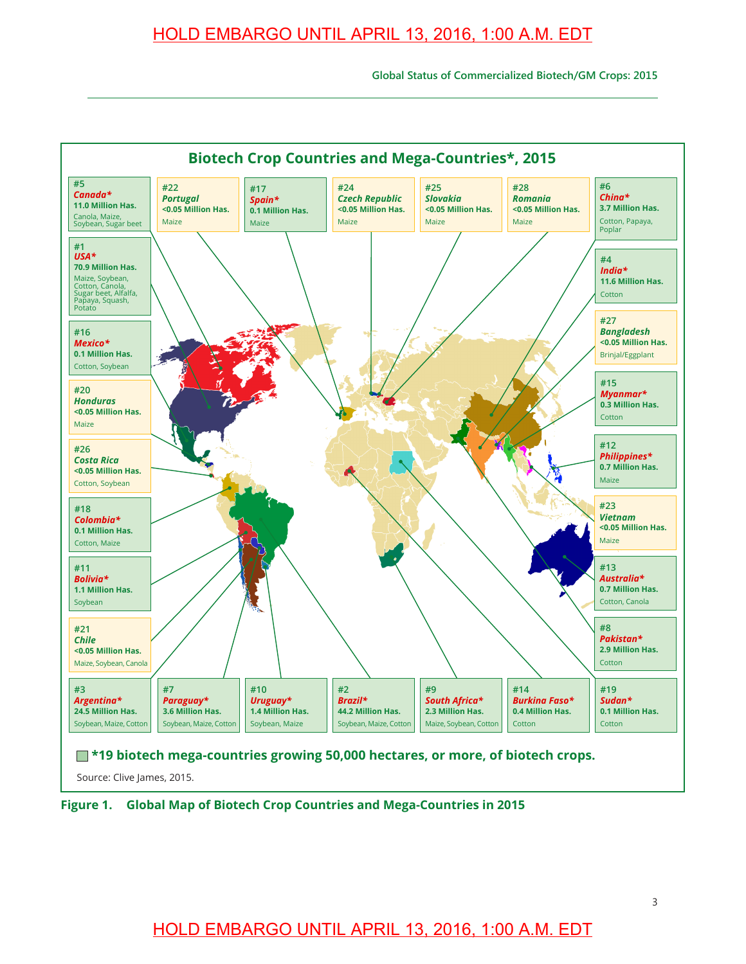**Global Status of Commercialized Biotech/GM Crops: 2015**



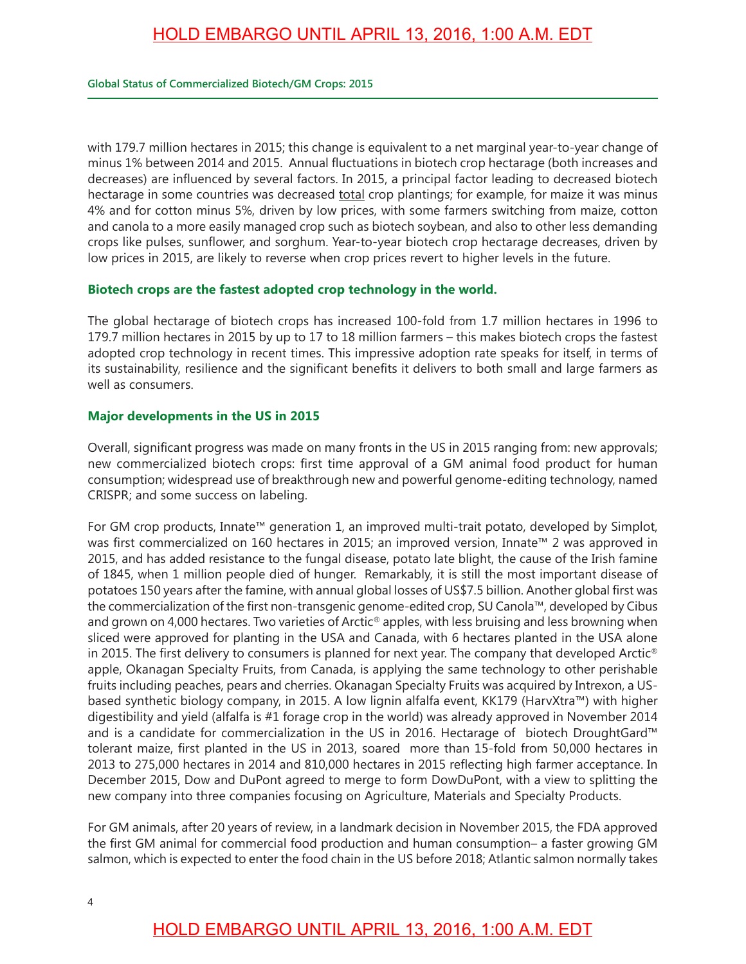with 179.7 million hectares in 2015; this change is equivalent to a net marginal year-to-year change of minus 1% between 2014 and 2015. Annual fuctuations in biotech crop hectarage (both increases and decreases) are infuenced by several factors. In 2015, a principal factor leading to decreased biotech hectarage in some countries was decreased total crop plantings; for example, for maize it was minus 4% and for cotton minus 5%, driven by low prices, with some farmers switching from maize, cotton and canola to a more easily managed crop such as biotech soybean, and also to other less demanding crops like pulses, sunflower, and sorghum. Year-to-year biotech crop hectarage decreases, driven by low prices in 2015, are likely to reverse when crop prices revert to higher levels in the future.

### **Biotech crops are the fastest adopted crop technology in the world.**

The global hectarage of biotech crops has increased 100-fold from 1.7 million hectares in 1996 to 179.7 million hectares in 2015 by up to 17 to 18 million farmers – this makes biotech crops the fastest adopted crop technology in recent times. This impressive adoption rate speaks for itself, in terms of its sustainability, resilience and the signifcant benefts it delivers to both small and large farmers as well as consumers.

### **Major developments in the US in 2015**

Overall, significant progress was made on many fronts in the US in 2015 ranging from: new approvals; new commercialized biotech crops: first time approval of a GM animal food product for human consumption; widespread use of breakthrough new and powerful genome-editing technology, named CRISPR; and some success on labeling.

For GM crop products, Innate™ generation 1, an improved multi-trait potato, developed by Simplot, was first commercialized on 160 hectares in 2015; an improved version, Innate™ 2 was approved in 2015, and has added resistance to the fungal disease, potato late blight, the cause of the Irish famine of 1845, when 1 million people died of hunger. Remarkably, it is still the most important disease of potatoes 150 years after the famine, with annual global losses of US\$7.5 billion. Another global frst was the commercialization of the frst non-transgenic genome-edited crop, SU Canola™, developed by Cibus and grown on 4,000 hectares. Two varieties of Arctic® apples, with less bruising and less browning when sliced were approved for planting in the USA and Canada, with 6 hectares planted in the USA alone in 2015. The first delivery to consumers is planned for next year. The company that developed Arctic® apple, Okanagan Specialty Fruits, from Canada, is applying the same technology to other perishable fruits including peaches, pears and cherries. Okanagan Specialty Fruits was acquired by Intrexon, a USbased synthetic biology company, in 2015. A low lignin alfalfa event, KK179 (HarvXtra™) with higher digestibility and yield (alfalfa is #1 forage crop in the world) was already approved in November 2014 and is a candidate for commercialization in the US in 2016. Hectarage of biotech DroughtGard™ tolerant maize, frst planted in the US in 2013, soared more than 15-fold from 50,000 hectares in 2013 to 275,000 hectares in 2014 and 810,000 hectares in 2015 refecting high farmer acceptance. In December 2015, Dow and DuPont agreed to merge to form DowDuPont, with a view to splitting the new company into three companies focusing on Agriculture, Materials and Specialty Products.

For GM animals, after 20 years of review, in a landmark decision in November 2015, the FDA approved the first GM animal for commercial food production and human consumption- a faster growing GM salmon, which is expected to enter the food chain in the US before 2018; Atlantic salmon normally takes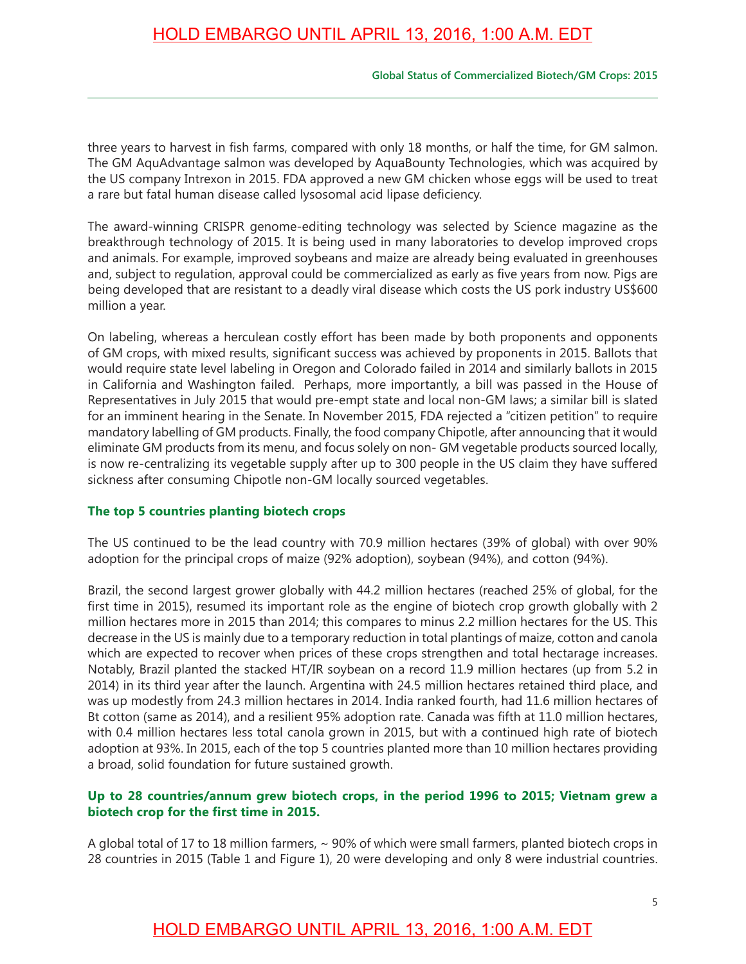#### **Global Status of Commercialized Biotech/GM Crops: 2015**

three years to harvest in fish farms, compared with only 18 months, or half the time, for GM salmon. The GM AquAdvantage salmon was developed by AquaBounty Technologies, which was acquired by the US company Intrexon in 2015. FDA approved a new GM chicken whose eggs will be used to treat a rare but fatal human disease called lysosomal acid lipase deficiency.

The award-winning CRISPR genome-editing technology was selected by Science magazine as the breakthrough technology of 2015. It is being used in many laboratories to develop improved crops and animals. For example, improved soybeans and maize are already being evaluated in greenhouses and, subject to regulation, approval could be commercialized as early as five years from now. Pigs are being developed that are resistant to a deadly viral disease which costs the US pork industry US\$600 million a year.

On labeling, whereas a herculean costly effort has been made by both proponents and opponents of GM crops, with mixed results, signifcant success was achieved by proponents in 2015. Ballots that would require state level labeling in Oregon and Colorado failed in 2014 and similarly ballots in 2015 in California and Washington failed. Perhaps, more importantly, a bill was passed in the House of Representatives in July 2015 that would pre-empt state and local non-GM laws; a similar bill is slated for an imminent hearing in the Senate. In November 2015, FDA rejected a "citizen petition" to require mandatory labelling of GM products. Finally, the food company Chipotle, after announcing that it would eliminate GM products from its menu, and focus solely on non- GM vegetable products sourced locally, is now re-centralizing its vegetable supply after up to 300 people in the US claim they have suffered sickness after consuming Chipotle non-GM locally sourced vegetables.

#### **The top 5 countries planting biotech crops**

The US continued to be the lead country with 70.9 million hectares (39% of global) with over 90% adoption for the principal crops of maize (92% adoption), soybean (94%), and cotton (94%).

Brazil, the second largest grower globally with 44.2 million hectares (reached 25% of global, for the first time in 2015), resumed its important role as the engine of biotech crop growth globally with 2 million hectares more in 2015 than 2014; this compares to minus 2.2 million hectares for the US. This decrease in the US is mainly due to a temporary reduction in total plantings of maize, cotton and canola which are expected to recover when prices of these crops strengthen and total hectarage increases. Notably, Brazil planted the stacked HT/IR soybean on a record 11.9 million hectares (up from 5.2 in 2014) in its third year after the launch. Argentina with 24.5 million hectares retained third place, and was up modestly from 24.3 million hectares in 2014. India ranked fourth, had 11.6 million hectares of Bt cotton (same as 2014), and a resilient 95% adoption rate. Canada was ffth at 11.0 million hectares, with 0.4 million hectares less total canola grown in 2015, but with a continued high rate of biotech adoption at 93%. In 2015, each of the top 5 countries planted more than 10 million hectares providing a broad, solid foundation for future sustained growth.

#### **Up to 28 countries/annum grew biotech crops, in the period 1996 to 2015; Vietnam grew a biotech crop for the frst time in 2015.**

A global total of 17 to 18 million farmers,  $\sim$  90% of which were small farmers, planted biotech crops in 28 countries in 2015 (Table 1 and Figure 1), 20 were developing and only 8 were industrial countries.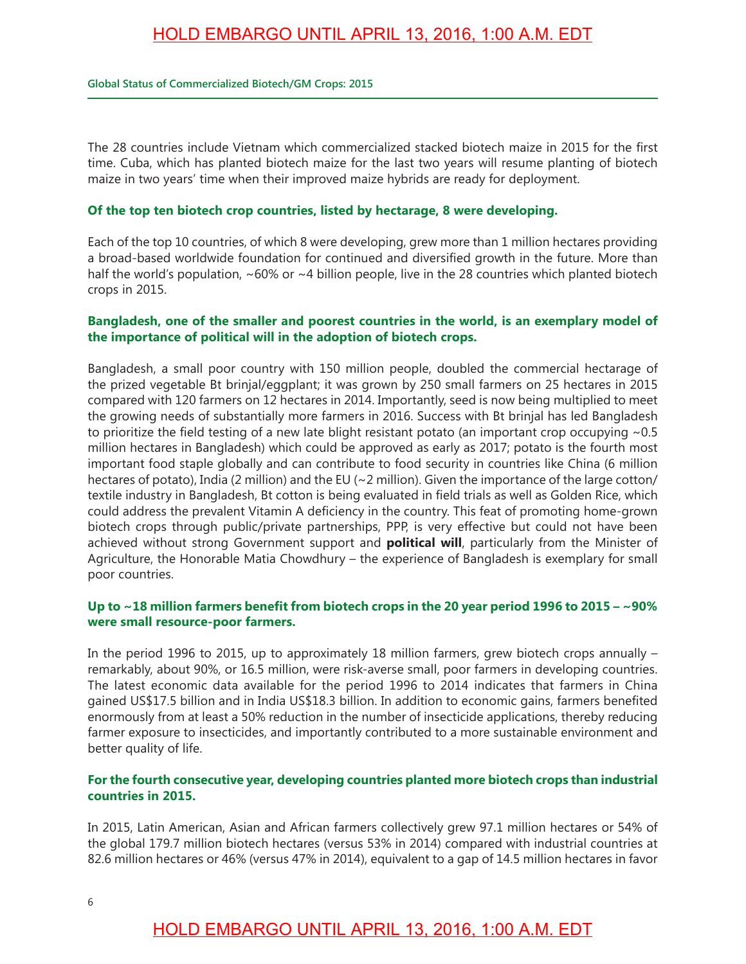#### **Global Status of Commercialized Biotech/GM Crops: 2015**

The 28 countries include Vietnam which commercialized stacked biotech maize in 2015 for the first time. Cuba, which has planted biotech maize for the last two years will resume planting of biotech maize in two years' time when their improved maize hybrids are ready for deployment.

#### **Of the top ten biotech crop countries, listed by hectarage, 8 were developing.**

Each of the top 10 countries, of which 8 were developing, grew more than 1 million hectares providing a broad-based worldwide foundation for continued and diversifed growth in the future. More than half the world's population, ~60% or ~4 billion people, live in the 28 countries which planted biotech crops in 2015.

#### **Bangladesh, one of the smaller and poorest countries in the world, is an exemplary model of the importance of political will in the adoption of biotech crops.**

Bangladesh, a small poor country with 150 million people, doubled the commercial hectarage of the prized vegetable Bt brinjal/eggplant; it was grown by 250 small farmers on 25 hectares in 2015 compared with 120 farmers on 12 hectares in 2014. Importantly, seed is now being multiplied to meet the growing needs of substantially more farmers in 2016. Success with Bt brinjal has led Bangladesh to prioritize the field testing of a new late blight resistant potato (an important crop occupying  $\sim 0.5$ ) million hectares in Bangladesh) which could be approved as early as 2017; potato is the fourth most important food staple globally and can contribute to food security in countries like China (6 million hectares of potato), India (2 million) and the EU (~2 million). Given the importance of the large cotton/ textile industry in Bangladesh, Bt cotton is being evaluated in field trials as well as Golden Rice, which could address the prevalent Vitamin A deficiency in the country. This feat of promoting home-grown biotech crops through public/private partnerships, PPP, is very effective but could not have been achieved without strong Government support and **political will**, particularly from the Minister of Agriculture, the Honorable Matia Chowdhury – the experience of Bangladesh is exemplary for small poor countries.

#### **Up to ~18 million farmers beneft from biotech crops in the 20 year period 1996 to 2015 – ~90% were small resource-poor farmers.**

In the period 1996 to 2015, up to approximately 18 million farmers, grew biotech crops annually – remarkably, about 90%, or 16.5 million, were risk-averse small, poor farmers in developing countries. The latest economic data available for the period 1996 to 2014 indicates that farmers in China gained US\$17.5 billion and in India US\$18.3 billion. In addition to economic gains, farmers benefted enormously from at least a 50% reduction in the number of insecticide applications, thereby reducing farmer exposure to insecticides, and importantly contributed to a more sustainable environment and better quality of life.

#### **For the fourth consecutive year, developing countries planted more biotech crops than industrial countries in 2015.**

In 2015, Latin American, Asian and African farmers collectively grew 97.1 million hectares or 54% of the global 179.7 million biotech hectares (versus 53% in 2014) compared with industrial countries at 82.6 million hectares or 46% (versus 47% in 2014), equivalent to a gap of 14.5 million hectares in favor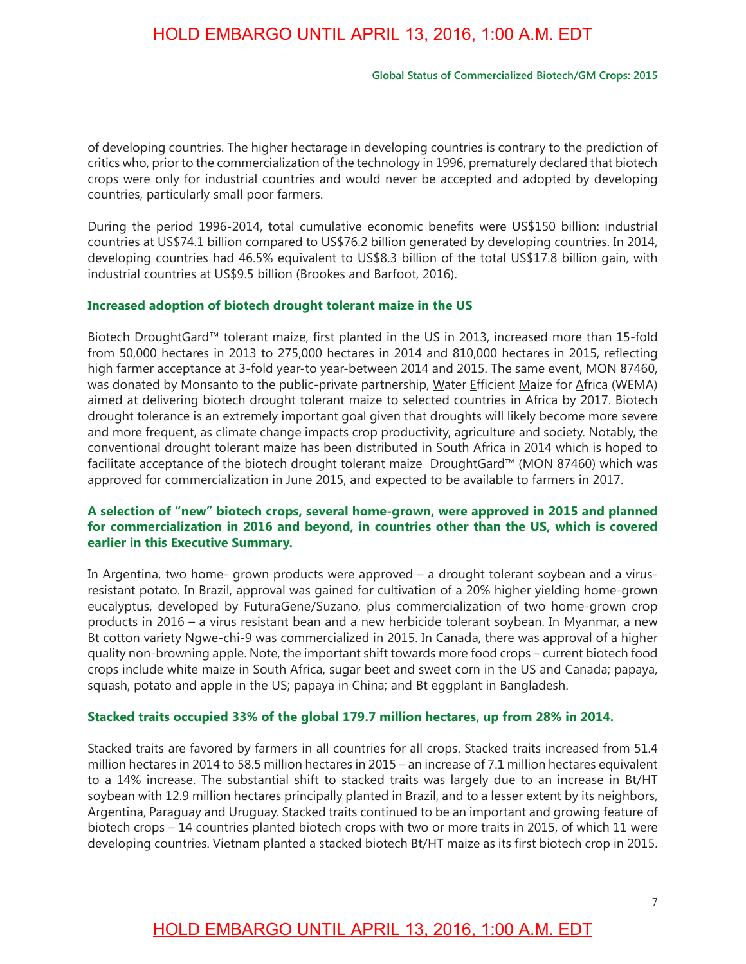#### **Global Status of Commercialized Biotech/GM Crops: 2015**

of developing countries. The higher hectarage in developing countries is contrary to the prediction of critics who, prior to the commercialization of the technology in 1996, prematurely declared that biotech crops were only for industrial countries and would never be accepted and adopted by developing countries, particularly small poor farmers.

During the period 1996-2014, total cumulative economic benefits were US\$150 billion: industrial countries at US\$74.1 billion compared to US\$76.2 billion generated by developing countries. In 2014, developing countries had 46.5% equivalent to US\$8.3 billion of the total US\$17.8 billion gain, with industrial countries at US\$9.5 billion (Brookes and Barfoot, 2016).

#### **Increased adoption of biotech drought tolerant maize in the US**

Biotech DroughtGard™ tolerant maize, frst planted in the US in 2013, increased more than 15-fold from 50,000 hectares in 2013 to 275,000 hectares in 2014 and 810,000 hectares in 2015, refecting high farmer acceptance at 3-fold year-to year-between 2014 and 2015. The same event, MON 87460, was donated by Monsanto to the public-private partnership, Water Efficient Maize for Africa (WEMA) aimed at delivering biotech drought tolerant maize to selected countries in Africa by 2017. Biotech drought tolerance is an extremely important goal given that droughts will likely become more severe and more frequent, as climate change impacts crop productivity, agriculture and society. Notably, the conventional drought tolerant maize has been distributed in South Africa in 2014 which is hoped to facilitate acceptance of the biotech drought tolerant maize DroughtGard™ (MON 87460) which was approved for commercialization in June 2015, and expected to be available to farmers in 2017.

#### **A selection of "new" biotech crops, several home-grown, were approved in 2015 and planned for commercialization in 2016 and beyond, in countries other than the US, which is covered earlier in this Executive Summary.**

In Argentina, two home- grown products were approved – a drought tolerant soybean and a virusresistant potato. In Brazil, approval was gained for cultivation of a 20% higher yielding home-grown eucalyptus, developed by FuturaGene/Suzano, plus commercialization of two home-grown crop products in 2016 – a virus resistant bean and a new herbicide tolerant soybean. In Myanmar, a new Bt cotton variety Ngwe-chi-9 was commercialized in 2015. In Canada, there was approval of a higher quality non-browning apple. Note, the important shift towards more food crops – current biotech food crops include white maize in South Africa, sugar beet and sweet corn in the US and Canada; papaya, squash, potato and apple in the US; papaya in China; and Bt eggplant in Bangladesh.

#### **Stacked traits occupied 33% of the global 179.7 million hectares, up from 28% in 2014.**

Stacked traits are favored by farmers in all countries for all crops. Stacked traits increased from 51.4 million hectares in 2014 to 58.5 million hectares in 2015 – an increase of 7.1 million hectares equivalent to a 14% increase. The substantial shift to stacked traits was largely due to an increase in Bt/HT soybean with 12.9 million hectares principally planted in Brazil, and to a lesser extent by its neighbors, Argentina, Paraguay and Uruguay. Stacked traits continued to be an important and growing feature of biotech crops – 14 countries planted biotech crops with two or more traits in 2015, of which 11 were developing countries. Vietnam planted a stacked biotech Bt/HT maize as its first biotech crop in 2015.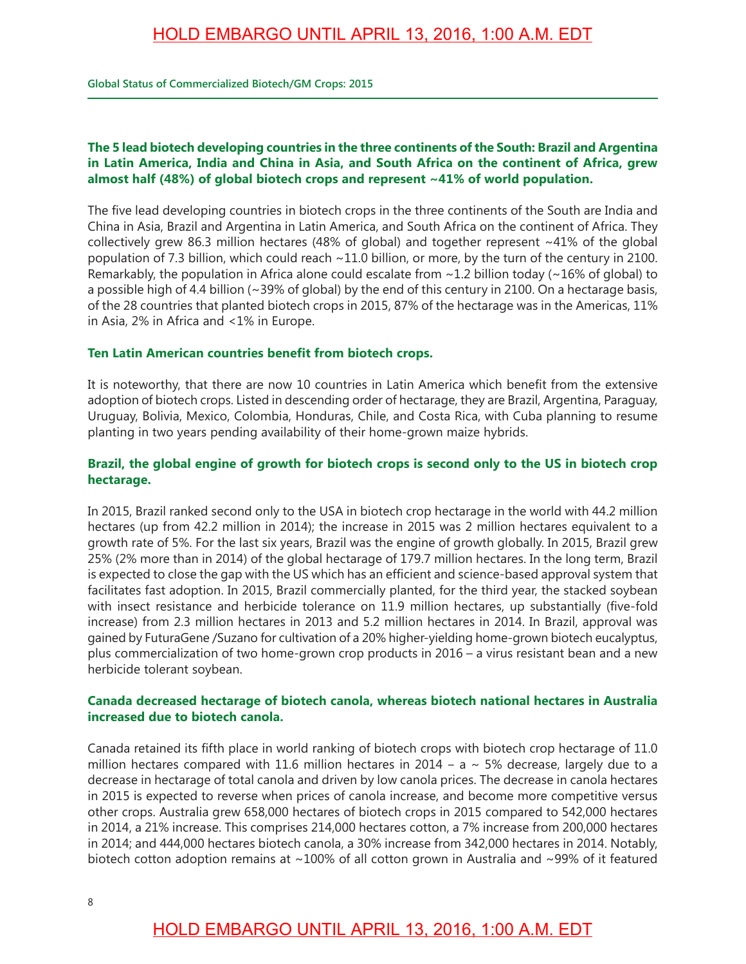**Global Status of Commercialized Biotech/GM Crops: 2015**

### **The 5 lead biotech developing countries in the three continents of the South: Brazil and Argentina in Latin America, India and China in Asia, and South Africa on the continent of Africa, grew almost half (48%) of global biotech crops and represent ~41% of world population.**

The five lead developing countries in biotech crops in the three continents of the South are India and China in Asia, Brazil and Argentina in Latin America, and South Africa on the continent of Africa. They collectively grew 86.3 million hectares (48% of global) and together represent ~41% of the global population of 7.3 billion, which could reach ~11.0 billion, or more, by the turn of the century in 2100. Remarkably, the population in Africa alone could escalate from ~1.2 billion today (~16% of global) to a possible high of 4.4 billion (~39% of global) by the end of this century in 2100. On a hectarage basis, of the 28 countries that planted biotech crops in 2015, 87% of the hectarage was in the Americas, 11% in Asia, 2% in Africa and <1% in Europe.

#### **Ten Latin American countries beneft from biotech crops.**

It is noteworthy, that there are now 10 countries in Latin America which beneft from the extensive adoption of biotech crops. Listed in descending order of hectarage, they are Brazil, Argentina, Paraguay, Uruguay, Bolivia, Mexico, Colombia, Honduras, Chile, and Costa Rica, with Cuba planning to resume planting in two years pending availability of their home-grown maize hybrids.

### **Brazil, the global engine of growth for biotech crops is second only to the US in biotech crop hectarage.**

In 2015, Brazil ranked second only to the USA in biotech crop hectarage in the world with 44.2 million hectares (up from 42.2 million in 2014); the increase in 2015 was 2 million hectares equivalent to a growth rate of 5%. For the last six years, Brazil was the engine of growth globally. In 2015, Brazil grew 25% (2% more than in 2014) of the global hectarage of 179.7 million hectares. In the long term, Brazil is expected to close the gap with the US which has an efficient and science-based approval system that facilitates fast adoption. In 2015, Brazil commercially planted, for the third year, the stacked soybean with insect resistance and herbicide tolerance on 11.9 million hectares, up substantially (five-fold increase) from 2.3 million hectares in 2013 and 5.2 million hectares in 2014. In Brazil, approval was gained by FuturaGene /Suzano for cultivation of a 20% higher-yielding home-grown biotech eucalyptus, plus commercialization of two home-grown crop products in 2016 – a virus resistant bean and a new herbicide tolerant soybean.

#### **Canada decreased hectarage of biotech canola, whereas biotech national hectares in Australia increased due to biotech canola.**

Canada retained its ffth place in world ranking of biotech crops with biotech crop hectarage of 11.0 million hectares compared with 11.6 million hectares in 2014 –  $a \sim 5\%$  decrease, largely due to a decrease in hectarage of total canola and driven by low canola prices. The decrease in canola hectares in 2015 is expected to reverse when prices of canola increase, and become more competitive versus other crops. Australia grew 658,000 hectares of biotech crops in 2015 compared to 542,000 hectares in 2014, a 21% increase. This comprises 214,000 hectares cotton, a 7% increase from 200,000 hectares in 2014; and 444,000 hectares biotech canola, a 30% increase from 342,000 hectares in 2014. Notably, biotech cotton adoption remains at ~100% of all cotton grown in Australia and ~99% of it featured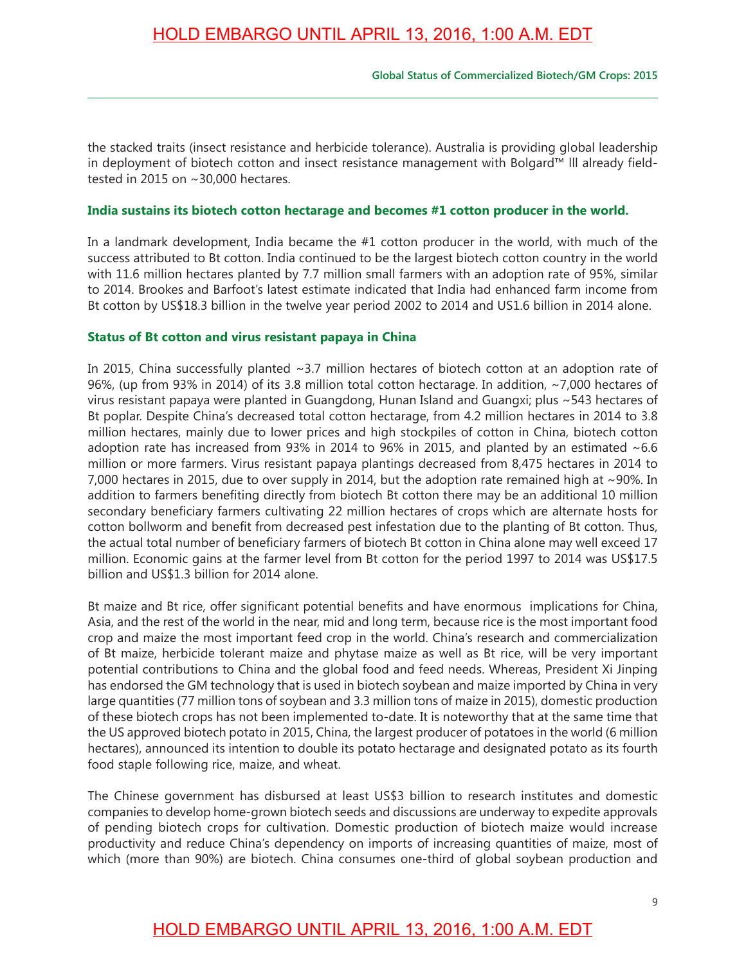the stacked traits (insect resistance and herbicide tolerance). Australia is providing global leadership in deployment of biotech cotton and insect resistance management with Bolgard™ lll already feldtested in 2015 on ~30,000 hectares.

### **India sustains its biotech cotton hectarage and becomes #1 cotton producer in the world.**

In a landmark development, India became the #1 cotton producer in the world, with much of the success attributed to Bt cotton. India continued to be the largest biotech cotton country in the world with 11.6 million hectares planted by 7.7 million small farmers with an adoption rate of 95%, similar to 2014. Brookes and Barfoot's latest estimate indicated that India had enhanced farm income from Bt cotton by US\$18.3 billion in the twelve year period 2002 to 2014 and US1.6 billion in 2014 alone.

### **Status of Bt cotton and virus resistant papaya in China**

In 2015, China successfully planted ~3.7 million hectares of biotech cotton at an adoption rate of 96%, (up from 93% in 2014) of its 3.8 million total cotton hectarage. In addition, ~7,000 hectares of virus resistant papaya were planted in Guangdong, Hunan Island and Guangxi; plus ~543 hectares of Bt poplar. Despite China's decreased total cotton hectarage, from 4.2 million hectares in 2014 to 3.8 million hectares, mainly due to lower prices and high stockpiles of cotton in China, biotech cotton adoption rate has increased from 93% in 2014 to 96% in 2015, and planted by an estimated  $~6.6$ million or more farmers. Virus resistant papaya plantings decreased from 8,475 hectares in 2014 to 7,000 hectares in 2015, due to over supply in 2014, but the adoption rate remained high at ~90%. In addition to farmers benefting directly from biotech Bt cotton there may be an additional 10 million secondary beneficiary farmers cultivating 22 million hectares of crops which are alternate hosts for cotton bollworm and benefit from decreased pest infestation due to the planting of Bt cotton. Thus, the actual total number of beneficiary farmers of biotech Bt cotton in China alone may well exceed 17 million. Economic gains at the farmer level from Bt cotton for the period 1997 to 2014 was US\$17.5 billion and US\$1.3 billion for 2014 alone.

Bt maize and Bt rice, offer signifcant potential benefts and have enormous implications for China, Asia, and the rest of the world in the near, mid and long term, because rice is the most important food crop and maize the most important feed crop in the world. China's research and commercialization of Bt maize, herbicide tolerant maize and phytase maize as well as Bt rice, will be very important potential contributions to China and the global food and feed needs. Whereas, President Xi Jinping has endorsed the GM technology that is used in biotech soybean and maize imported by China in very large quantities (77 million tons of soybean and 3.3 million tons of maize in 2015), domestic production of these biotech crops has not been implemented to-date. It is noteworthy that at the same time that the US approved biotech potato in 2015, China, the largest producer of potatoes in the world (6 million hectares), announced its intention to double its potato hectarage and designated potato as its fourth food staple following rice, maize, and wheat.

The Chinese government has disbursed at least US\$3 billion to research institutes and domestic companies to develop home-grown biotech seeds and discussions are underway to expedite approvals of pending biotech crops for cultivation. Domestic production of biotech maize would increase productivity and reduce China's dependency on imports of increasing quantities of maize, most of which (more than 90%) are biotech. China consumes one-third of global soybean production and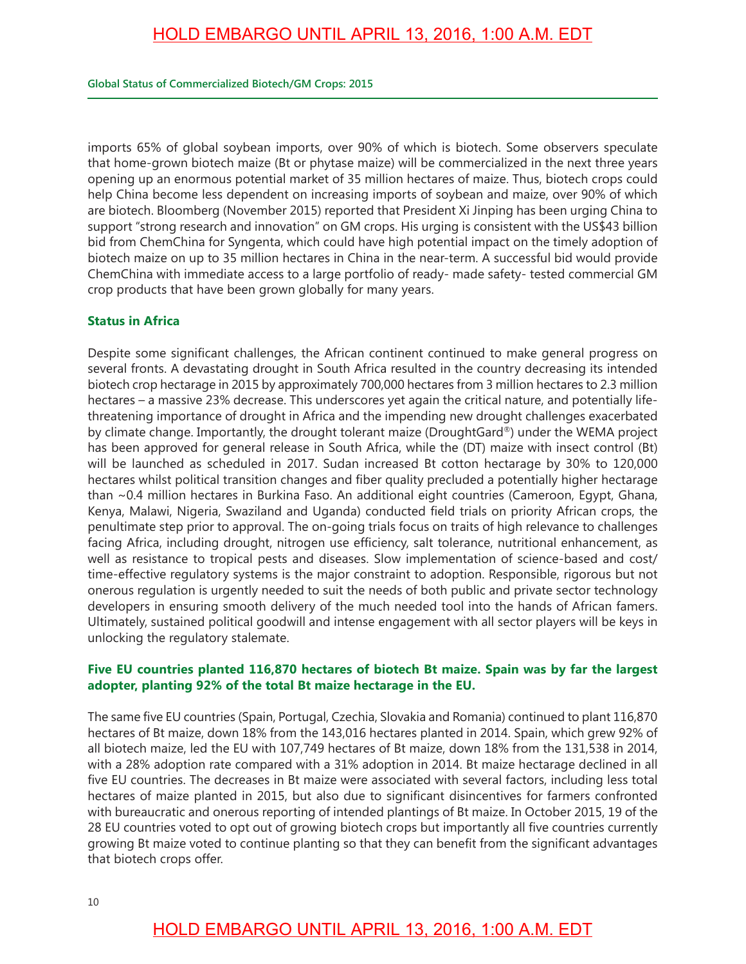imports 65% of global soybean imports, over 90% of which is biotech. Some observers speculate that home-grown biotech maize (Bt or phytase maize) will be commercialized in the next three years opening up an enormous potential market of 35 million hectares of maize. Thus, biotech crops could help China become less dependent on increasing imports of soybean and maize, over 90% of which are biotech. Bloomberg (November 2015) reported that President Xi Jinping has been urging China to support "strong research and innovation" on GM crops. His urging is consistent with the US\$43 billion bid from ChemChina for Syngenta, which could have high potential impact on the timely adoption of biotech maize on up to 35 million hectares in China in the near-term. A successful bid would provide ChemChina with immediate access to a large portfolio of ready- made safety- tested commercial GM crop products that have been grown globally for many years.

### **Status in Africa**

Despite some signifcant challenges, the African continent continued to make general progress on several fronts. A devastating drought in South Africa resulted in the country decreasing its intended biotech crop hectarage in 2015 by approximately 700,000 hectares from 3 million hectares to 2.3 million hectares – a massive 23% decrease. This underscores yet again the critical nature, and potentially lifethreatening importance of drought in Africa and the impending new drought challenges exacerbated by climate change. Importantly, the drought tolerant maize (DroughtGard®) under the WEMA project has been approved for general release in South Africa, while the (DT) maize with insect control (Bt) will be launched as scheduled in 2017. Sudan increased Bt cotton hectarage by 30% to 120,000 hectares whilst political transition changes and fiber quality precluded a potentially higher hectarage than ~0.4 million hectares in Burkina Faso. An additional eight countries (Cameroon, Egypt, Ghana, Kenya, Malawi, Nigeria, Swaziland and Uganda) conducted feld trials on priority African crops, the penultimate step prior to approval. The on-going trials focus on traits of high relevance to challenges facing Africa, including drought, nitrogen use efficiency, salt tolerance, nutritional enhancement, as well as resistance to tropical pests and diseases. Slow implementation of science-based and cost/ time-effective regulatory systems is the major constraint to adoption. Responsible, rigorous but not onerous regulation is urgently needed to suit the needs of both public and private sector technology developers in ensuring smooth delivery of the much needed tool into the hands of African famers. Ultimately, sustained political goodwill and intense engagement with all sector players will be keys in unlocking the regulatory stalemate.

### **Five EU countries planted 116,870 hectares of biotech Bt maize. Spain was by far the largest adopter, planting 92% of the total Bt maize hectarage in the EU.**

The same five EU countries (Spain, Portugal, Czechia, Slovakia and Romania) continued to plant 116,870 hectares of Bt maize, down 18% from the 143,016 hectares planted in 2014. Spain, which grew 92% of all biotech maize, led the EU with 107,749 hectares of Bt maize, down 18% from the 131,538 in 2014, with a 28% adoption rate compared with a 31% adoption in 2014. Bt maize hectarage declined in all five EU countries. The decreases in Bt maize were associated with several factors, including less total hectares of maize planted in 2015, but also due to significant disincentives for farmers confronted with bureaucratic and onerous reporting of intended plantings of Bt maize. In October 2015, 19 of the 28 EU countries voted to opt out of growing biotech crops but importantly all fve countries currently growing Bt maize voted to continue planting so that they can benefit from the significant advantages that biotech crops offer.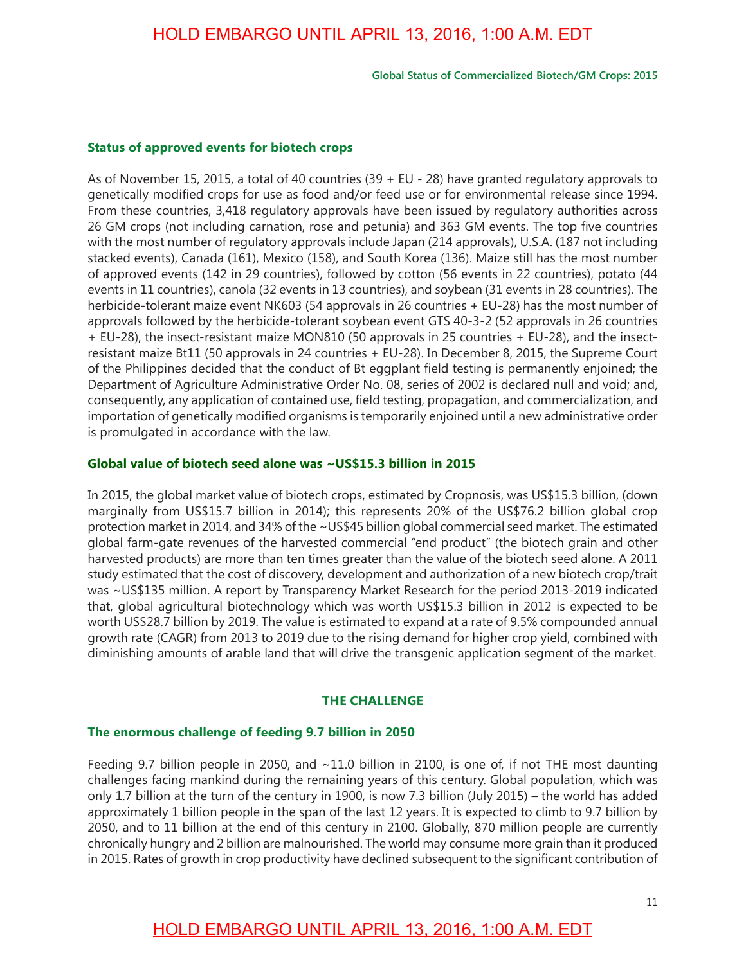**Global Status of Commercialized Biotech/GM Crops: 2015**

#### **Status of approved events for biotech crops**

As of November 15, 2015, a total of 40 countries (39 + EU - 28) have granted regulatory approvals to genetically modifed crops for use as food and/or feed use or for environmental release since 1994. From these countries, 3,418 regulatory approvals have been issued by regulatory authorities across 26 GM crops (not including carnation, rose and petunia) and 363 GM events. The top five countries with the most number of regulatory approvals include Japan (214 approvals), U.S.A. (187 not including stacked events), Canada (161), Mexico (158), and South Korea (136). Maize still has the most number of approved events (142 in 29 countries), followed by cotton (56 events in 22 countries), potato (44 events in 11 countries), canola (32 events in 13 countries), and soybean (31 events in 28 countries). The herbicide-tolerant maize event NK603 (54 approvals in 26 countries + EU-28) has the most number of approvals followed by the herbicide-tolerant soybean event GTS 40-3-2 (52 approvals in 26 countries + EU-28), the insect-resistant maize MON810 (50 approvals in 25 countries + EU-28), and the insectresistant maize Bt11 (50 approvals in 24 countries + EU-28). In December 8, 2015, the Supreme Court of the Philippines decided that the conduct of Bt eggplant feld testing is permanently enjoined; the Department of Agriculture Administrative Order No. 08, series of 2002 is declared null and void; and, consequently, any application of contained use, feld testing, propagation, and commercialization, and importation of genetically modifed organisms is temporarily enjoined until a new administrative order is promulgated in accordance with the law.

#### **Global value of biotech seed alone was ~US\$15.3 billion in 2015**

In 2015, the global market value of biotech crops, estimated by Cropnosis, was US\$15.3 billion, (down marginally from US\$15.7 billion in 2014); this represents 20% of the US\$76.2 billion global crop protection market in 2014, and 34% of the ~US\$45 billion global commercial seed market. The estimated global farm-gate revenues of the harvested commercial "end product" (the biotech grain and other harvested products) are more than ten times greater than the value of the biotech seed alone. A 2011 study estimated that the cost of discovery, development and authorization of a new biotech crop/trait was ~US\$135 million. A report by Transparency Market Research for the period 2013-2019 indicated that, global agricultural biotechnology which was worth US\$15.3 billion in 2012 is expected to be worth US\$28.7 billion by 2019. The value is estimated to expand at a rate of 9.5% compounded annual growth rate (CAGR) from 2013 to 2019 due to the rising demand for higher crop yield, combined with diminishing amounts of arable land that will drive the transgenic application segment of the market.

#### **THE CHALLENGE**

#### **The enormous challenge of feeding 9.7 billion in 2050**

Feeding 9.7 billion people in 2050, and  $\sim$ 11.0 billion in 2100, is one of, if not THE most daunting challenges facing mankind during the remaining years of this century. Global population, which was only 1.7 billion at the turn of the century in 1900, is now 7.3 billion (July 2015) – the world has added approximately 1 billion people in the span of the last 12 years. It is expected to climb to 9.7 billion by 2050, and to 11 billion at the end of this century in 2100. Globally, 870 million people are currently chronically hungry and 2 billion are malnourished. The world may consume more grain than it produced in 2015. Rates of growth in crop productivity have declined subsequent to the significant contribution of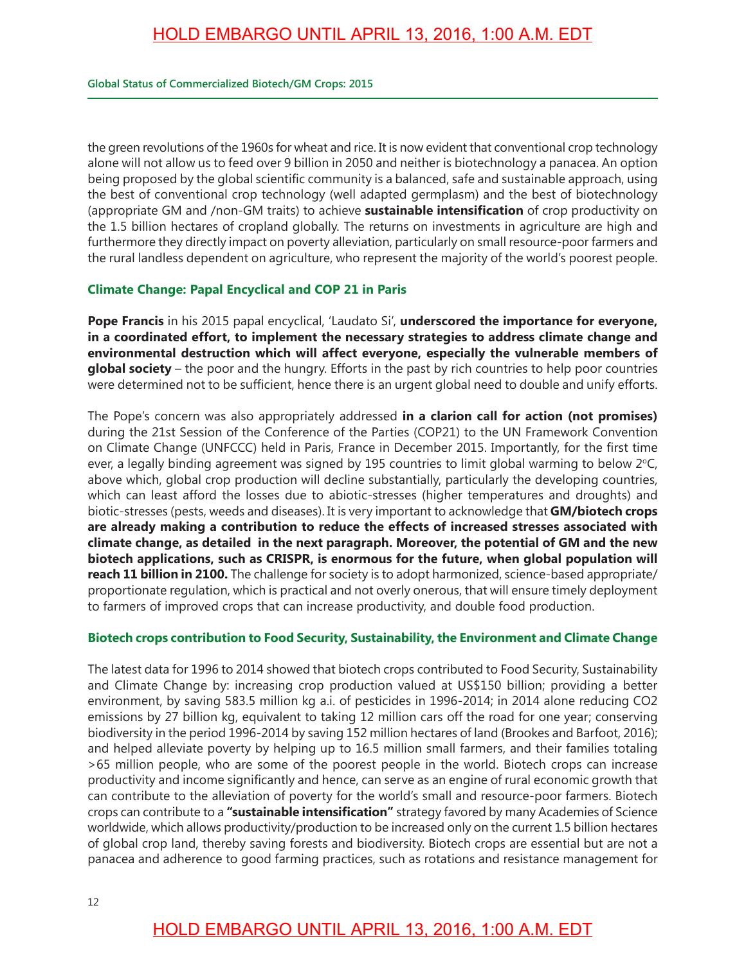the green revolutions of the 1960s for wheat and rice. It is now evident that conventional crop technology alone will not allow us to feed over 9 billion in 2050 and neither is biotechnology a panacea. An option being proposed by the global scientific community is a balanced, safe and sustainable approach, using the best of conventional crop technology (well adapted germplasm) and the best of biotechnology (appropriate GM and /non-GM traits) to achieve **sustainable intensifcation** of crop productivity on the 1.5 billion hectares of cropland globally. The returns on investments in agriculture are high and furthermore they directly impact on poverty alleviation, particularly on small resource-poor farmers and the rural landless dependent on agriculture, who represent the majority of the world's poorest people.

### **Climate Change: Papal Encyclical and COP 21 in Paris**

**Pope Francis** in his 2015 papal encyclical, 'Laudato Si', **underscored the importance for everyone, in a coordinated effort, to implement the necessary strategies to address climate change and environmental destruction which will affect everyone, especially the vulnerable members of global society** – the poor and the hungry. Efforts in the past by rich countries to help poor countries were determined not to be sufficient, hence there is an urgent global need to double and unify efforts.

The Pope's concern was also appropriately addressed **in a clarion call for action (not promises)** during the 21st Session of the Conference of the Parties (COP21) to the UN Framework Convention on Climate Change (UNFCCC) held in Paris, France in December 2015. Importantly, for the first time ever, a legally binding agreement was signed by 195 countries to limit global warming to below  $2^{\circ}C$ , above which, global crop production will decline substantially, particularly the developing countries, which can least afford the losses due to abiotic-stresses (higher temperatures and droughts) and biotic-stresses (pests, weeds and diseases). It is very important to acknowledge that **GM/biotech crops are already making a contribution to reduce the effects of increased stresses associated with climate change, as detailed in the next paragraph. Moreover, the potential of GM and the new biotech applications, such as CRISPR, is enormous for the future, when global population will reach 11 billion in 2100.** The challenge for society is to adopt harmonized, science-based appropriate/ proportionate regulation, which is practical and not overly onerous, that will ensure timely deployment to farmers of improved crops that can increase productivity, and double food production.

### **Biotech crops contribution to Food Security, Sustainability, the Environment and Climate Change**

The latest data for 1996 to 2014 showed that biotech crops contributed to Food Security, Sustainability and Climate Change by: increasing crop production valued at US\$150 billion; providing a better environment, by saving 583.5 million kg a.i. of pesticides in 1996-2014; in 2014 alone reducing CO2 emissions by 27 billion kg, equivalent to taking 12 million cars off the road for one year; conserving biodiversity in the period 1996-2014 by saving 152 million hectares of land (Brookes and Barfoot, 2016); and helped alleviate poverty by helping up to 16.5 million small farmers, and their families totaling >65 million people, who are some of the poorest people in the world. Biotech crops can increase productivity and income signifcantly and hence, can serve as an engine of rural economic growth that can contribute to the alleviation of poverty for the world's small and resource-poor farmers. Biotech crops can contribute to a **"sustainable intensifcation"** strategy favored by many Academies of Science worldwide, which allows productivity/production to be increased only on the current 1.5 billion hectares of global crop land, thereby saving forests and biodiversity. Biotech crops are essential but are not a panacea and adherence to good farming practices, such as rotations and resistance management for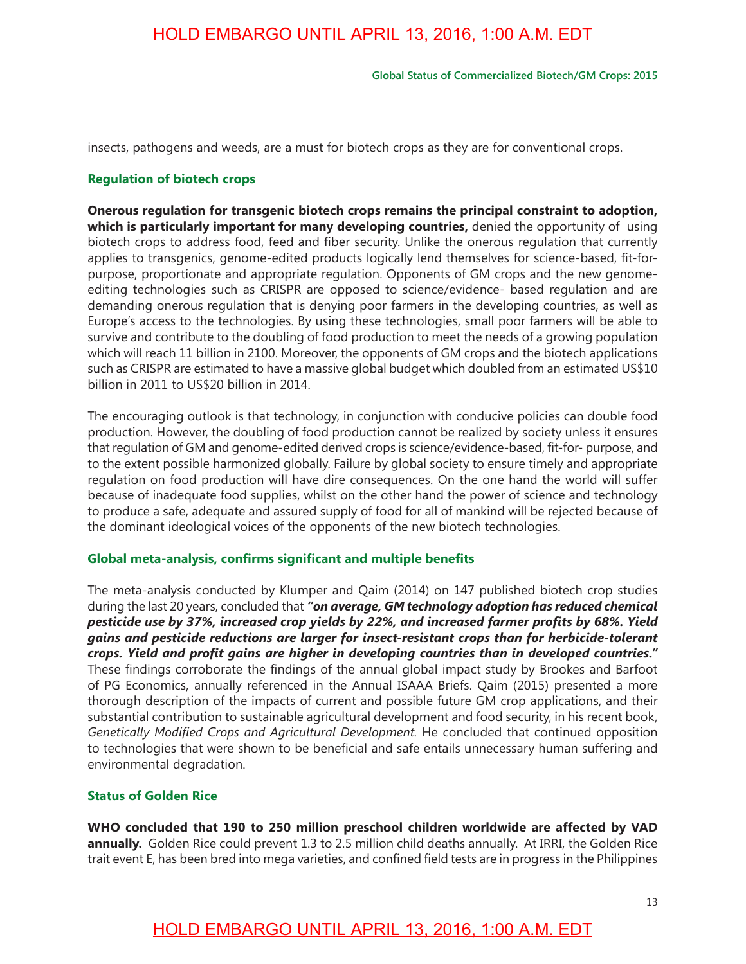insects, pathogens and weeds, are a must for biotech crops as they are for conventional crops.

#### **Regulation of biotech crops**

**Onerous regulation for transgenic biotech crops remains the principal constraint to adoption, which is particularly important for many developing countries,** denied the opportunity of using biotech crops to address food, feed and fiber security. Unlike the onerous regulation that currently applies to transgenics, genome-edited products logically lend themselves for science-based, fit-forpurpose, proportionate and appropriate regulation. Opponents of GM crops and the new genomeediting technologies such as CRISPR are opposed to science/evidence- based regulation and are demanding onerous regulation that is denying poor farmers in the developing countries, as well as Europe's access to the technologies. By using these technologies, small poor farmers will be able to survive and contribute to the doubling of food production to meet the needs of a growing population which will reach 11 billion in 2100. Moreover, the opponents of GM crops and the biotech applications such as CRISPR are estimated to have a massive global budget which doubled from an estimated US\$10 billion in 2011 to US\$20 billion in 2014.

The encouraging outlook is that technology, in conjunction with conducive policies can double food production. However, the doubling of food production cannot be realized by society unless it ensures that regulation of GM and genome-edited derived crops is science/evidence-based, fit-for- purpose, and to the extent possible harmonized globally. Failure by global society to ensure timely and appropriate regulation on food production will have dire consequences. On the one hand the world will suffer because of inadequate food supplies, whilst on the other hand the power of science and technology to produce a safe, adequate and assured supply of food for all of mankind will be rejected because of the dominant ideological voices of the opponents of the new biotech technologies.

#### **Global meta-analysis, confrms signifcant and multiple benefts**

The meta-analysis conducted by Klumper and Qaim (2014) on 147 published biotech crop studies during the last 20 years, concluded that *"on average, GM technology adoption has reduced chemical pesticide use by 37%, increased crop yields by 22%, and increased farmer profts by 68%. Yield gains and pesticide reductions are larger for insect-resistant crops than for herbicide-tolerant crops. Yield and proft gains are higher in developing countries than in developed countries."* These findings corroborate the findings of the annual global impact study by Brookes and Barfoot of PG Economics, annually referenced in the Annual ISAAA Briefs. Qaim (2015) presented a more thorough description of the impacts of current and possible future GM crop applications, and their substantial contribution to sustainable agricultural development and food security, in his recent book, *Genetically Modifed Crops and Agricultural Development.* He concluded that continued opposition to technologies that were shown to be beneficial and safe entails unnecessary human suffering and environmental degradation.

### **Status of Golden Rice**

**WHO concluded that 190 to 250 million preschool children worldwide are affected by VAD**  annually. Golden Rice could prevent 1.3 to 2.5 million child deaths annually. At IRRI, the Golden Rice trait event E, has been bred into mega varieties, and confined field tests are in progress in the Philippines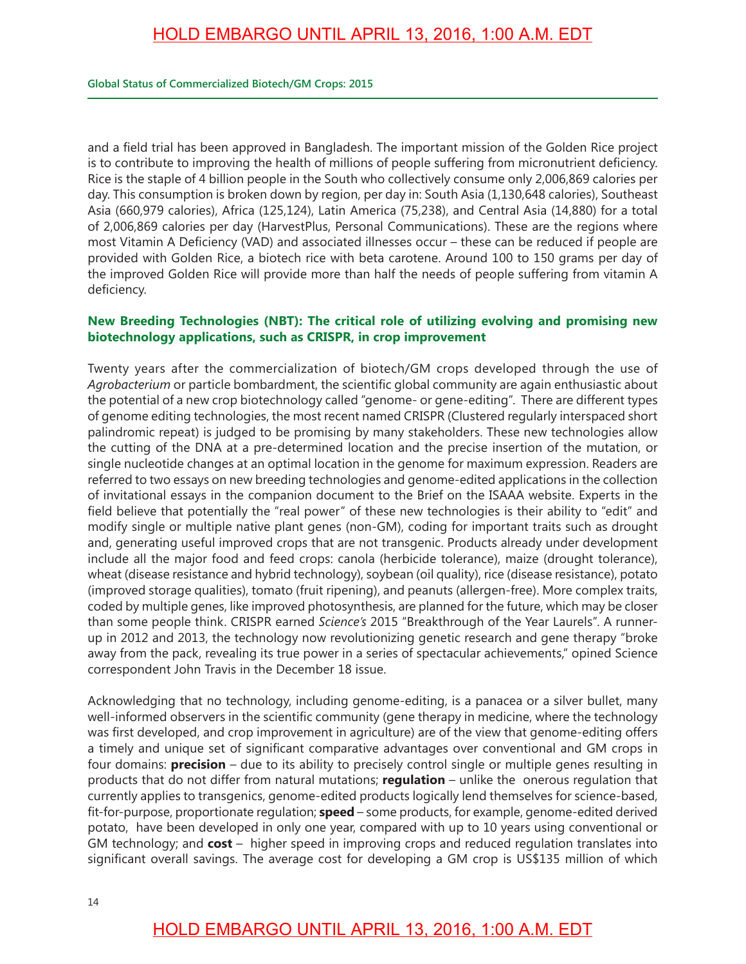and a feld trial has been approved in Bangladesh. The important mission of the Golden Rice project is to contribute to improving the health of millions of people suffering from micronutrient defciency. Rice is the staple of 4 billion people in the South who collectively consume only 2,006,869 calories per day. This consumption is broken down by region, per day in: South Asia (1,130,648 calories), Southeast Asia (660,979 calories), Africa (125,124), Latin America (75,238), and Central Asia (14,880) for a total of 2,006,869 calories per day (HarvestPlus, Personal Communications). These are the regions where most Vitamin A Deficiency (VAD) and associated illnesses occur - these can be reduced if people are provided with Golden Rice, a biotech rice with beta carotene. Around 100 to 150 grams per day of the improved Golden Rice will provide more than half the needs of people suffering from vitamin A deficiency.

### **New Breeding Technologies (NBT): The critical role of utilizing evolving and promising new biotechnology applications, such as CRISPR, in crop improvement**

Twenty years after the commercialization of biotech/GM crops developed through the use of Agrobacterium or particle bombardment, the scientific global community are again enthusiastic about the potential of a new crop biotechnology called "genome- or gene-editing". There are different types of genome editing technologies, the most recent named CRISPR (Clustered regularly interspaced short palindromic repeat) is judged to be promising by many stakeholders. These new technologies allow the cutting of the DNA at a pre-determined location and the precise insertion of the mutation, or single nucleotide changes at an optimal location in the genome for maximum expression. Readers are referred to two essays on new breeding technologies and genome-edited applications in the collection of invitational essays in the companion document to the Brief on the ISAAA website. Experts in the field believe that potentially the "real power" of these new technologies is their ability to "edit" and modify single or multiple native plant genes (non-GM), coding for important traits such as drought and, generating useful improved crops that are not transgenic. Products already under development include all the major food and feed crops: canola (herbicide tolerance), maize (drought tolerance), wheat (disease resistance and hybrid technology), soybean (oil quality), rice (disease resistance), potato (improved storage qualities), tomato (fruit ripening), and peanuts (allergen-free). More complex traits, coded by multiple genes, like improved photosynthesis, are planned for the future, which may be closer than some people think. CRISPR earned *Science's* 2015 "Breakthrough of the Year Laurels". A runnerup in 2012 and 2013, the technology now revolutionizing genetic research and gene therapy "broke away from the pack, revealing its true power in a series of spectacular achievements," opined Science correspondent John Travis in the December 18 issue.

Acknowledging that no technology, including genome-editing, is a panacea or a silver bullet, many well-informed observers in the scientific community (gene therapy in medicine, where the technology was first developed, and crop improvement in agriculture) are of the view that genome-editing offers a timely and unique set of significant comparative advantages over conventional and GM crops in four domains: **precision** – due to its ability to precisely control single or multiple genes resulting in products that do not differ from natural mutations; **regulation** – unlike the onerous regulation that currently applies to transgenics, genome-edited products logically lend themselves for science-based, ft-for-purpose, proportionate regulation; **speed** – some products, for example, genome-edited derived potato, have been developed in only one year, compared with up to 10 years using conventional or GM technology; and **cost** – higher speed in improving crops and reduced regulation translates into signifcant overall savings. The average cost for developing a GM crop is US\$135 million of which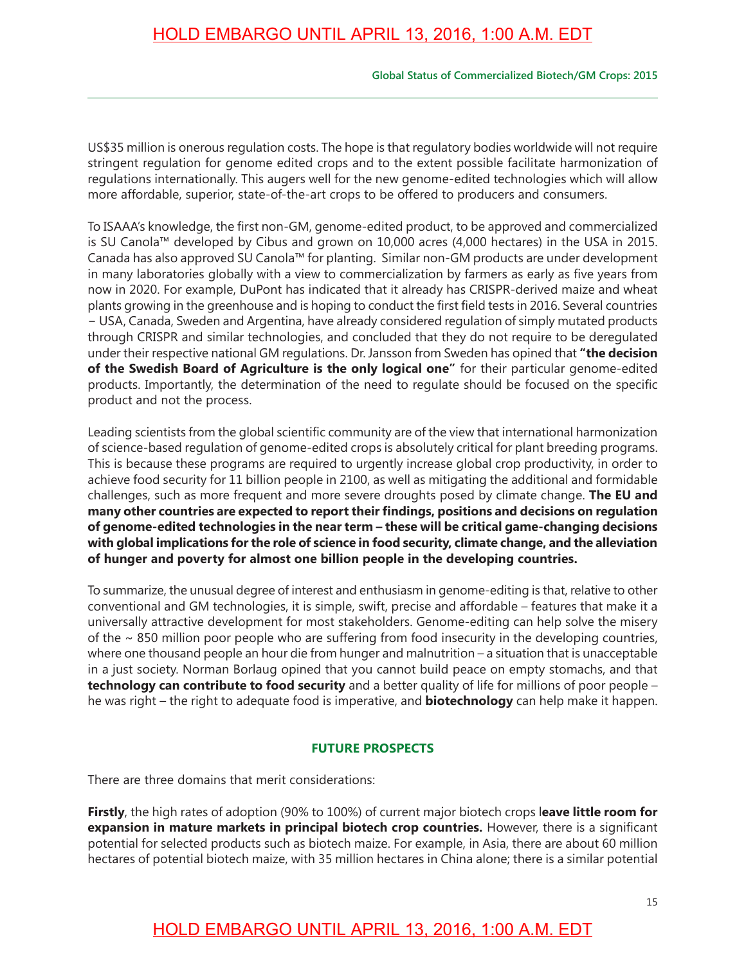#### **Global Status of Commercialized Biotech/GM Crops: 2015**

US\$35 million is onerous regulation costs. The hope is that regulatory bodies worldwide will not require stringent regulation for genome edited crops and to the extent possible facilitate harmonization of regulations internationally. This augers well for the new genome-edited technologies which will allow more affordable, superior, state-of-the-art crops to be offered to producers and consumers.

To ISAAA's knowledge, the frst non-GM, genome-edited product, to be approved and commercialized is SU Canola™ developed by Cibus and grown on 10,000 acres (4,000 hectares) in the USA in 2015. Canada has also approved SU Canola™ for planting. Similar non-GM products are under development in many laboratories globally with a view to commercialization by farmers as early as five years from now in 2020. For example, DuPont has indicated that it already has CRISPR-derived maize and wheat plants growing in the greenhouse and is hoping to conduct the frst feld tests in 2016. Several countries − USA, Canada, Sweden and Argentina, have already considered regulation of simply mutated products through CRISPR and similar technologies, and concluded that they do not require to be deregulated under their respective national GM regulations. Dr. Jansson from Sweden has opined that **"the decision of the Swedish Board of Agriculture is the only logical one"** for their particular genome-edited products. Importantly, the determination of the need to regulate should be focused on the specifc product and not the process.

Leading scientists from the global scientifc community are of the view that international harmonization of science-based regulation of genome-edited crops is absolutely critical for plant breeding programs. This is because these programs are required to urgently increase global crop productivity, in order to achieve food security for 11 billion people in 2100, as well as mitigating the additional and formidable challenges, such as more frequent and more severe droughts posed by climate change. **The EU and many other countries are expected to report their fndings, positions and decisions on regulation of genome-edited technologies in the near term – these will be critical game-changing decisions with global implications for the role of science in food security, climate change, and the alleviation of hunger and poverty for almost one billion people in the developing countries.**

To summarize, the unusual degree of interest and enthusiasm in genome-editing is that, relative to other conventional and GM technologies, it is simple, swift, precise and affordable – features that make it a universally attractive development for most stakeholders. Genome-editing can help solve the misery of the ~ 850 million poor people who are suffering from food insecurity in the developing countries, where one thousand people an hour die from hunger and malnutrition – a situation that is unacceptable in a just society. Norman Borlaug opined that you cannot build peace on empty stomachs, and that **technology can contribute to food security** and a better quality of life for millions of poor people – he was right – the right to adequate food is imperative, and **biotechnology** can help make it happen.

### **FUTURE PROSPECTS**

There are three domains that merit considerations:

**Firstly**, the high rates of adoption (90% to 100%) of current major biotech crops l**eave little room for expansion in mature markets in principal biotech crop countries.** However, there is a signifcant potential for selected products such as biotech maize. For example, in Asia, there are about 60 million hectares of potential biotech maize, with 35 million hectares in China alone; there is a similar potential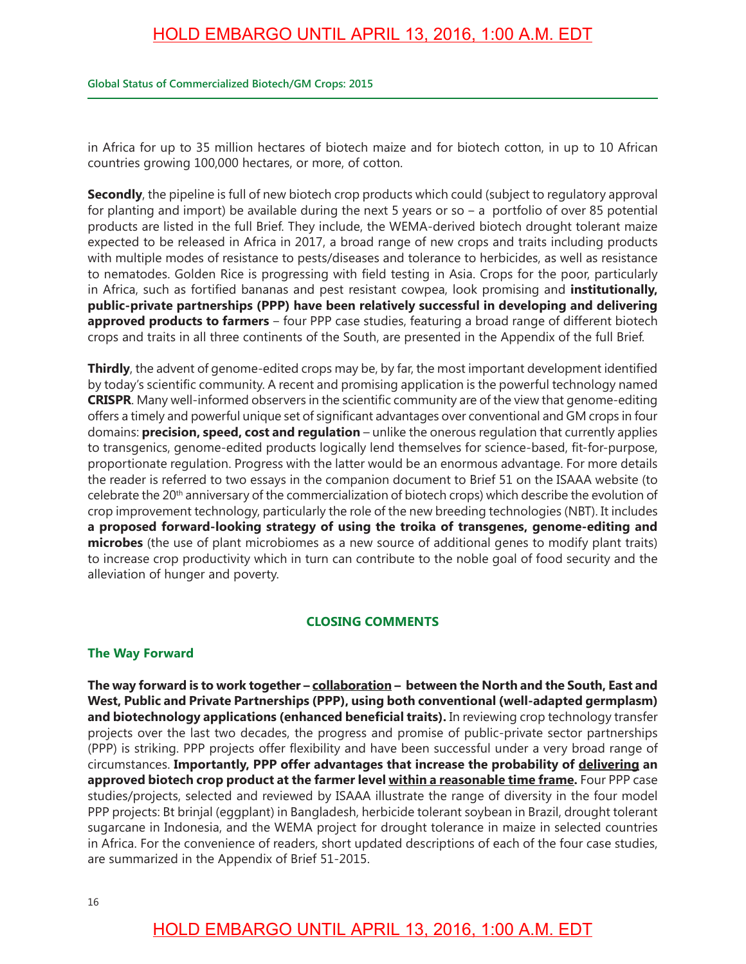#### **Global Status of Commercialized Biotech/GM Crops: 2015**

in Africa for up to 35 million hectares of biotech maize and for biotech cotton, in up to 10 African countries growing 100,000 hectares, or more, of cotton.

**Secondly**, the pipeline is full of new biotech crop products which could (subject to regulatory approval for planting and import) be available during the next 5 years or so  $-$  a portfolio of over 85 potential products are listed in the full Brief. They include, the WEMA-derived biotech drought tolerant maize expected to be released in Africa in 2017, a broad range of new crops and traits including products with multiple modes of resistance to pests/diseases and tolerance to herbicides, as well as resistance to nematodes. Golden Rice is progressing with feld testing in Asia. Crops for the poor, particularly in Africa, such as fortifed bananas and pest resistant cowpea, look promising and **institutionally, public-private partnerships (PPP) have been relatively successful in developing and delivering approved products to farmers** – four PPP case studies, featuring a broad range of different biotech crops and traits in all three continents of the South, are presented in the Appendix of the full Brief.

**Thirdly**, the advent of genome-edited crops may be, by far, the most important development identifed by today's scientifc community. A recent and promising application is the powerful technology named **CRISPR**. Many well-informed observers in the scientific community are of the view that genome-editing offers a timely and powerful unique set of signifcant advantages over conventional and GM crops in four domains: **precision, speed, cost and regulation** – unlike the onerous regulation that currently applies to transgenics, genome-edited products logically lend themselves for science-based, ft-for-purpose, proportionate regulation. Progress with the latter would be an enormous advantage. For more details the reader is referred to two essays in the companion document to Brief 51 on the ISAAA website (to celebrate the 20<sup>th</sup> anniversary of the commercialization of biotech crops) which describe the evolution of crop improvement technology, particularly the role of the new breeding technologies (NBT). It includes **a proposed forward-looking strategy of using the troika of transgenes, genome-editing and microbes** (the use of plant microbiomes as a new source of additional genes to modify plant traits) to increase crop productivity which in turn can contribute to the noble goal of food security and the alleviation of hunger and poverty.

#### **CLOSING COMMENTS**

#### **The Way Forward**

The way forward is to work together – collaboration – between the North and the South, East and **West, Public and Private Partnerships (PPP), using both conventional (well-adapted germplasm)**  and biotechnology applications (enhanced beneficial traits). In reviewing crop technology transfer projects over the last two decades, the progress and promise of public-private sector partnerships (PPP) is striking. PPP projects offer fexibility and have been successful under a very broad range of circumstances. **Importantly, PPP offer advantages that increase the probability of delivering an approved biotech crop product at the farmer level within a reasonable time frame.** Four PPP case studies/projects, selected and reviewed by ISAAA illustrate the range of diversity in the four model PPP projects: Bt brinjal (eggplant) in Bangladesh, herbicide tolerant soybean in Brazil, drought tolerant sugarcane in Indonesia, and the WEMA project for drought tolerance in maize in selected countries in Africa. For the convenience of readers, short updated descriptions of each of the four case studies, are summarized in the Appendix of Brief 51-2015.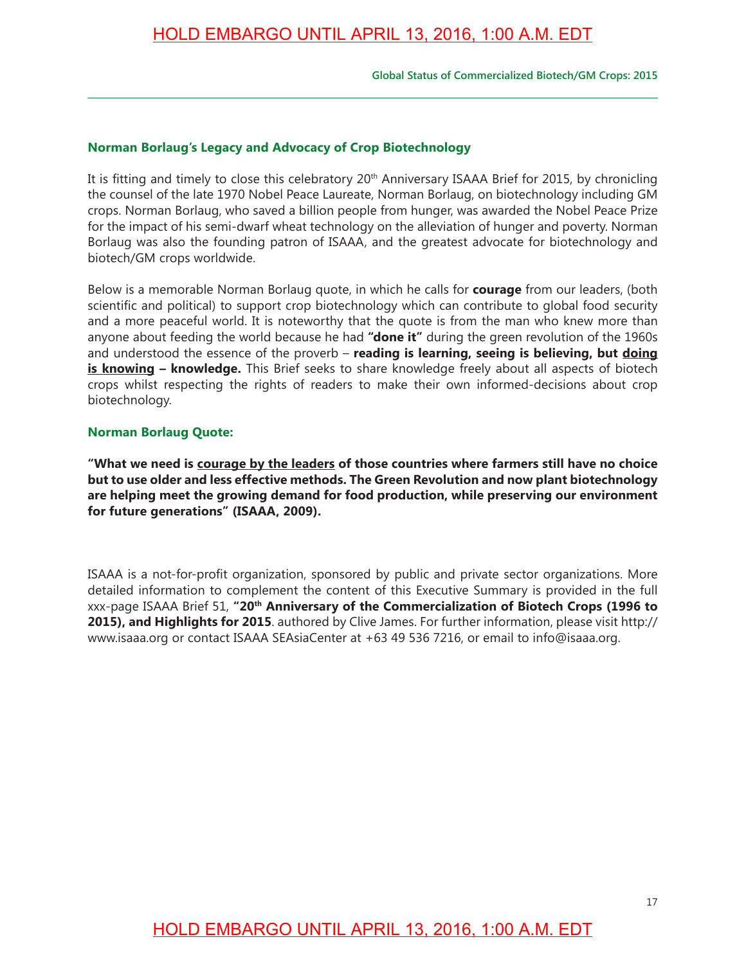### **Norman Borlaug's Legacy and Advocacy of Crop Biotechnology**

It is fitting and timely to close this celebratory 20<sup>th</sup> Anniversary ISAAA Brief for 2015, by chronicling the counsel of the late 1970 Nobel Peace Laureate, Norman Borlaug, on biotechnology including GM crops. Norman Borlaug, who saved a billion people from hunger, was awarded the Nobel Peace Prize for the impact of his semi-dwarf wheat technology on the alleviation of hunger and poverty. Norman Borlaug was also the founding patron of ISAAA, and the greatest advocate for biotechnology and biotech/GM crops worldwide.

Below is a memorable Norman Borlaug quote, in which he calls for **courage** from our leaders, (both scientifc and political) to support crop biotechnology which can contribute to global food security and a more peaceful world. It is noteworthy that the quote is from the man who knew more than anyone about feeding the world because he had **"done it"** during the green revolution of the 1960s and understood the essence of the proverb – **reading is learning, seeing is believing, but doing is knowing – knowledge.** This Brief seeks to share knowledge freely about all aspects of biotech crops whilst respecting the rights of readers to make their own informed-decisions about crop biotechnology.

#### **Norman Borlaug Quote:**

**"What we need is courage by the leaders of those countries where farmers still have no choice but to use older and less effective methods. The Green Revolution and now plant biotechnology are helping meet the growing demand for food production, while preserving our environment for future generations" (ISAAA, 2009).**

ISAAA is a not-for-proft organization, sponsored by public and private sector organizations. More detailed information to complement the content of this Executive Summary is provided in the full xxx-page ISAAA Brief 51, **"20th Anniversary of the Commercialization of Biotech Crops (1996 to 2015), and Highlights for 2015**. authored by Clive James. For further information, please visit http:// www.isaaa.org or contact ISAAA SEAsiaCenter at +63 49 536 7216, or email to info@isaaa.org.